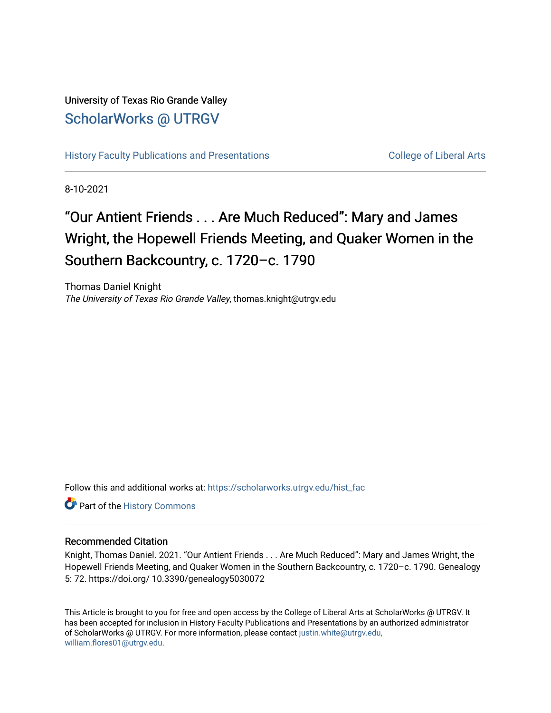## University of Texas Rio Grande Valley [ScholarWorks @ UTRGV](https://scholarworks.utrgv.edu/)

[History Faculty Publications and Presentations](https://scholarworks.utrgv.edu/hist_fac) College of Liberal Arts

8-10-2021

# "Our Antient Friends . . . Are Much Reduced": Mary and James Wright, the Hopewell Friends Meeting, and Quaker Women in the Southern Backcountry, c. 1720–c. 1790

Thomas Daniel Knight The University of Texas Rio Grande Valley, thomas.knight@utrgv.edu

Follow this and additional works at: [https://scholarworks.utrgv.edu/hist\\_fac](https://scholarworks.utrgv.edu/hist_fac?utm_source=scholarworks.utrgv.edu%2Fhist_fac%2F83&utm_medium=PDF&utm_campaign=PDFCoverPages) 

Part of the [History Commons](http://network.bepress.com/hgg/discipline/489?utm_source=scholarworks.utrgv.edu%2Fhist_fac%2F83&utm_medium=PDF&utm_campaign=PDFCoverPages) 

### Recommended Citation

Knight, Thomas Daniel. 2021. "Our Antient Friends . . . Are Much Reduced": Mary and James Wright, the Hopewell Friends Meeting, and Quaker Women in the Southern Backcountry, c. 1720-c. 1790. Genealogy 5: 72. https://doi.org/ 10.3390/genealogy5030072

This Article is brought to you for free and open access by the College of Liberal Arts at ScholarWorks @ UTRGV. It has been accepted for inclusion in History Faculty Publications and Presentations by an authorized administrator of ScholarWorks @ UTRGV. For more information, please contact [justin.white@utrgv.edu,](mailto:justin.white@utrgv.edu,%20william.flores01@utrgv.edu) [william.flores01@utrgv.edu](mailto:justin.white@utrgv.edu,%20william.flores01@utrgv.edu).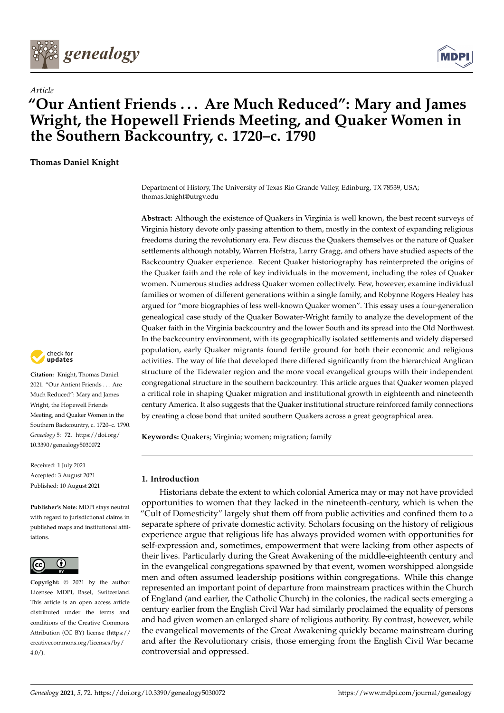



## **"Our Antient Friends . . . Are Much Reduced": Mary and James Wright, the Hopewell Friends Meeting, and Quaker Women in the Southern Backcountry, c. 1720–c. 1790**

**Thomas Daniel Knight**

*Article*

Department of History, The University of Texas Rio Grande Valley, Edinburg, TX 78539, USA; thomas.knight@utrgv.edu

**Abstract:** Although the existence of Quakers in Virginia is well known, the best recent surveys of Virginia history devote only passing attention to them, mostly in the context of expanding religious freedoms during the revolutionary era. Few discuss the Quakers themselves or the nature of Quaker settlements although notably, Warren Hofstra, Larry Gragg, and others have studied aspects of the Backcountry Quaker experience. Recent Quaker historiography has reinterpreted the origins of the Quaker faith and the role of key individuals in the movement, including the roles of Quaker women. Numerous studies address Quaker women collectively. Few, however, examine individual families or women of different generations within a single family, and Robynne Rogers Healey has argued for "more biographies of less well-known Quaker women". This essay uses a four-generation genealogical case study of the Quaker Bowater-Wright family to analyze the development of the Quaker faith in the Virginia backcountry and the lower South and its spread into the Old Northwest. In the backcountry environment, with its geographically isolated settlements and widely dispersed population, early Quaker migrants found fertile ground for both their economic and religious activities. The way of life that developed there differed significantly from the hierarchical Anglican structure of the Tidewater region and the more vocal evangelical groups with their independent congregational structure in the southern backcountry. This article argues that Quaker women played a critical role in shaping Quaker migration and institutional growth in eighteenth and nineteenth century America. It also suggests that the Quaker institutional structure reinforced family connections by creating a close bond that united southern Quakers across a great geographical area.

**Keywords:** Quakers; Virginia; women; migration; family

#### **1. Introduction**

Historians debate the extent to which colonial America may or may not have provided opportunities to women that they lacked in the nineteenth-century, which is when the "Cult of Domesticity" largely shut them off from public activities and confined them to a separate sphere of private domestic activity. Scholars focusing on the history of religious experience argue that religious life has always provided women with opportunities for self-expression and, sometimes, empowerment that were lacking from other aspects of their lives. Particularly during the Great Awakening of the middle-eighteenth century and in the evangelical congregations spawned by that event, women worshipped alongside men and often assumed leadership positions within congregations. While this change represented an important point of departure from mainstream practices within the Church of England (and earlier, the Catholic Church) in the colonies, the radical sects emerging a century earlier from the English Civil War had similarly proclaimed the equality of persons and had given women an enlarged share of religious authority. By contrast, however, while the evangelical movements of the Great Awakening quickly became mainstream during and after the Revolutionary crisis, those emerging from the English Civil War became controversial and oppressed.



**Citation:** Knight, Thomas Daniel. 2021. "Our Antient Friends . . . Are Much Reduced": Mary and James Wright, the Hopewell Friends Meeting, and Quaker Women in the Southern Backcountry, c. 1720–c. 1790. *Genealogy* 5: 72. [https://doi.org/](https://doi.org/10.3390/genealogy5030072) [10.3390/genealogy5030072](https://doi.org/10.3390/genealogy5030072)

Received: 1 July 2021 Accepted: 3 August 2021 Published: 10 August 2021

**Publisher's Note:** MDPI stays neutral with regard to jurisdictional claims in published maps and institutional affiliations.



**Copyright:** © 2021 by the author. Licensee MDPI, Basel, Switzerland. This article is an open access article distributed under the terms and conditions of the Creative Commons Attribution (CC BY) license (https:/[/](https://creativecommons.org/licenses/by/4.0/) [creativecommons.org/licenses/by/](https://creativecommons.org/licenses/by/4.0/)  $4.0/$ ).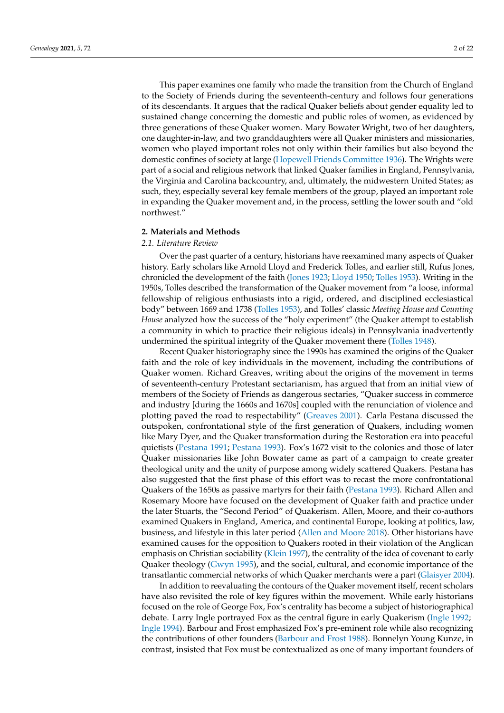This paper examines one family who made the transition from the Church of England to the Society of Friends during the seventeenth-century and follows four generations of its descendants. It argues that the radical Quaker beliefs about gender equality led to sustained change concerning the domestic and public roles of women, as evidenced by three generations of these Quaker women. Mary Bowater Wright, two of her daughters, one daughter-in-law, and two granddaughters were all Quaker ministers and missionaries, women who played important roles not only within their families but also beyond the domestic confines of society at large [\(Hopewell Friends Committee](#page-21-0) [1936\)](#page-21-0). The Wrights were part of a social and religious network that linked Quaker families in England, Pennsylvania, the Virginia and Carolina backcountry, and, ultimately, the midwestern United States; as such, they, especially several key female members of the group, played an important role in expanding the Quaker movement and, in the process, settling the lower south and "old northwest."

#### **2. Materials and Methods**

#### *2.1. Literature Review*

Over the past quarter of a century, historians have reexamined many aspects of Quaker history. Early scholars like Arnold Lloyd and Frederick Tolles, and earlier still, Rufus Jones, chronicled the development of the faith [\(Jones](#page-21-1) [1923;](#page-21-1) [Lloyd](#page-21-2) [1950;](#page-21-2) [Tolles](#page-22-0) [1953\)](#page-22-0). Writing in the 1950s, Tolles described the transformation of the Quaker movement from "a loose, informal fellowship of religious enthusiasts into a rigid, ordered, and disciplined ecclesiastical body" between 1669 and 1738 [\(Tolles](#page-22-0) [1953\)](#page-22-0), and Tolles' classic *Meeting House and Counting House* analyzed how the success of the "holy experiment" (the Quaker attempt to establish a community in which to practice their religious ideals) in Pennsylvania inadvertently undermined the spiritual integrity of the Quaker movement there [\(Tolles](#page-22-1) [1948\)](#page-22-1).

Recent Quaker historiography since the 1990s has examined the origins of the Quaker faith and the role of key individuals in the movement, including the contributions of Quaker women. Richard Greaves, writing about the origins of the movement in terms of seventeenth-century Protestant sectarianism, has argued that from an initial view of members of the Society of Friends as dangerous sectaries, "Quaker success in commerce and industry [during the 1660s and 1670s] coupled with the renunciation of violence and plotting paved the road to respectability" [\(Greaves](#page-21-3) [2001\)](#page-21-3). Carla Pestana discussed the outspoken, confrontational style of the first generation of Quakers, including women like Mary Dyer, and the Quaker transformation during the Restoration era into peaceful quietists [\(Pestana](#page-21-4) [1991;](#page-21-4) [Pestana](#page-21-5) [1993\)](#page-21-5). Fox's 1672 visit to the colonies and those of later Quaker missionaries like John Bowater came as part of a campaign to create greater theological unity and the unity of purpose among widely scattered Quakers. Pestana has also suggested that the first phase of this effort was to recast the more confrontational Quakers of the 1650s as passive martyrs for their faith [\(Pestana](#page-21-5) [1993\)](#page-21-5). Richard Allen and Rosemary Moore have focused on the development of Quaker faith and practice under the later Stuarts, the "Second Period" of Quakerism. Allen, Moore, and their co-authors examined Quakers in England, America, and continental Europe, looking at politics, law, business, and lifestyle in this later period [\(Allen and Moore](#page-20-0) [2018\)](#page-20-0). Other historians have examined causes for the opposition to Quakers rooted in their violation of the Anglican emphasis on Christian sociability [\(Klein](#page-21-6) [1997\)](#page-21-6), the centrality of the idea of covenant to early Quaker theology [\(Gwyn](#page-21-7) [1995\)](#page-21-7), and the social, cultural, and economic importance of the transatlantic commercial networks of which Quaker merchants were a part [\(Glaisyer](#page-21-8) [2004\)](#page-21-8).

In addition to reevaluating the contours of the Quaker movement itself, recent scholars have also revisited the role of key figures within the movement. While early historians focused on the role of George Fox, Fox's centrality has become a subject of historiographical debate. Larry Ingle portrayed Fox as the central figure in early Quakerism [\(Ingle](#page-21-9) [1992;](#page-21-9) [Ingle](#page-21-10) [1994\)](#page-21-10). Barbour and Frost emphasized Fox's pre-eminent role while also recognizing the contributions of other founders [\(Barbour and Frost](#page-20-1) [1988\)](#page-20-1). Bonnelyn Young Kunze, in contrast, insisted that Fox must be contextualized as one of many important founders of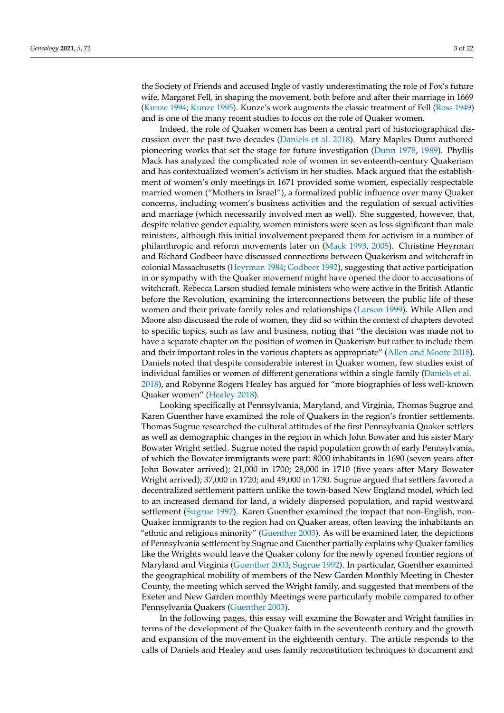the Society of Friends and accused Ingle of vastly underestimating the role of Fox's future wife, Margaret Fell, in shaping the movement, both before and after their marriage in 1669 [\(Kunze](#page-21-11) [1994;](#page-21-11) [Kunze](#page-21-12) [1995\)](#page-21-12). Kunze's work augments the classic treatment of Fell [\(Ross](#page-22-2) [1949\)](#page-22-2) and is one of the many recent studies to focus on the role of Quaker women.

Indeed, the role of Quaker women has been a central part of historiographical discussion over the past two decades [\(Daniels et al.](#page-20-2) [2018\)](#page-20-2). Mary Maples Dunn authored pioneering works that set the stage for future investigation [\(Dunn](#page-20-3) [1978,](#page-20-3) [1989\)](#page-20-4). Phyllis Mack has analyzed the complicated role of women in seventeenth-century Quakerism and has contextualized women's activism in her studies. Mack argued that the establishment of women's only meetings in 1671 provided some women, especially respectable married women ("Mothers in Israel"), a formalized public influence over many Quaker concerns, including women's business activities and the regulation of sexual activities and marriage (which necessarily involved men as well). She suggested, however, that, despite relative gender equality, women ministers were seen as less significant than male ministers, although this initial involvement prepared them for activism in a number of philanthropic and reform movements later on [\(Mack](#page-21-13) [1993,](#page-21-13) [2005\)](#page-21-14). Christine Heyrman and Richard Godbeer have discussed connections between Quakerism and witchcraft in colonial Massachusetts [\(Heyrman](#page-21-15) [1984;](#page-21-15) [Godbeer](#page-21-16) [1992\)](#page-21-16), suggesting that active participation in or sympathy with the Quaker movement might have opened the door to accusations of witchcraft. Rebecca Larson studied female ministers who were active in the British Atlantic before the Revolution, examining the interconnections between the public life of these women and their private family roles and relationships [\(Larson](#page-21-17) [1999\)](#page-21-17). While Allen and Moore also discussed the role of women, they did so within the context of chapters devoted to specific topics, such as law and business, noting that "the decision was made not to have a separate chapter on the position of women in Quakerism but rather to include them and their important roles in the various chapters as appropriate" [\(Allen and Moore](#page-20-0) [2018\)](#page-20-0). Daniels noted that despite considerable interest in Quaker women, few studies exist of individual families or women of different generations within a single family [\(Daniels et al.](#page-20-2) [2018\)](#page-20-2), and Robynne Rogers Healey has argued for "more biographies of less well-known Quaker women" [\(Healey](#page-21-18) [2018\)](#page-21-18).

Looking specifically at Pennsylvania, Maryland, and Virginia, Thomas Sugrue and Karen Guenther have examined the role of Quakers in the region's frontier settlements. Thomas Sugrue researched the cultural attitudes of the first Pennsylvania Quaker settlers as well as demographic changes in the region in which John Bowater and his sister Mary Bowater Wright settled. Sugrue noted the rapid population growth of early Pennsylvania, of which the Bowater immigrants were part: 8000 inhabitants in 1690 (seven years after John Bowater arrived); 21,000 in 1700; 28,000 in 1710 (five years after Mary Bowater Wright arrived); 37,000 in 1720; and 49,000 in 1730. Sugrue argued that settlers favored a decentralized settlement pattern unlike the town-based New England model, which led to an increased demand for land, a widely dispersed population, and rapid westward settlement [\(Sugrue](#page-22-3) [1992\)](#page-22-3). Karen Guenther examined the impact that non-English, non-Quaker immigrants to the region had on Quaker areas, often leaving the inhabitants an "ethnic and religious minority" [\(Guenther](#page-21-19) [2003\)](#page-21-19). As will be examined later, the depictions of Pennsylvania settlement by Sugrue and Guenther partially explains why Quaker families like the Wrights would leave the Quaker colony for the newly opened frontier regions of Maryland and Virginia [\(Guenther](#page-21-19) [2003;](#page-21-19) [Sugrue](#page-22-3) [1992\)](#page-22-3). In particular, Guenther examined the geographical mobility of members of the New Garden Monthly Meeting in Chester County, the meeting which served the Wright family, and suggested that members of the Exeter and New Garden monthly Meetings were particularly mobile compared to other Pennsylvania Quakers [\(Guenther](#page-21-19) [2003\)](#page-21-19).

In the following pages, this essay will examine the Bowater and Wright families in terms of the development of the Quaker faith in the seventeenth century and the growth and expansion of the movement in the eighteenth century. The article responds to the calls of Daniels and Healey and uses family reconstitution techniques to document and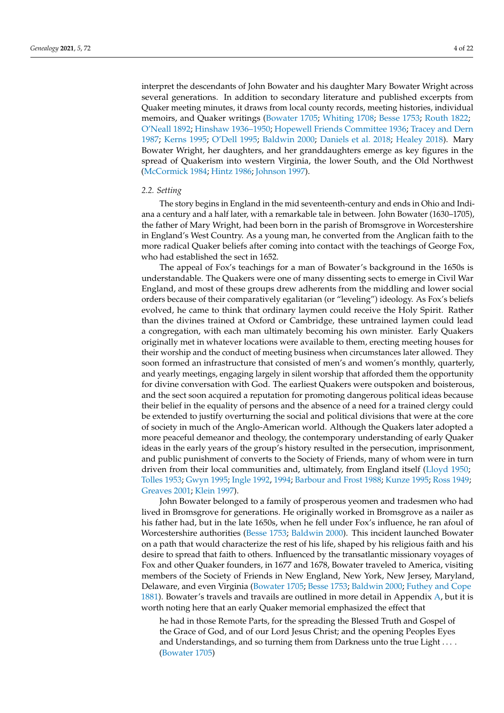interpret the descendants of John Bowater and his daughter Mary Bowater Wright across several generations. In addition to secondary literature and published excerpts from Quaker meeting minutes, it draws from local county records, meeting histories, individual memoirs, and Quaker writings [\(Bowater](#page-20-5) [1705;](#page-20-5) [Whiting](#page-22-4) [1708;](#page-22-4) [Besse](#page-20-6) [1753;](#page-20-6) [Routh](#page-22-5) [1822;](#page-22-5) [O'Neall](#page-21-20) [1892;](#page-21-20) [Hinshaw](#page-21-21) [1936–1950;](#page-21-21) [Hopewell Friends Committee](#page-21-0) [1936;](#page-21-0) [Tracey and Dern](#page-22-6) [1987;](#page-22-6) [Kerns](#page-21-22) [1995;](#page-21-22) [O'Dell](#page-21-23) [1995;](#page-21-23) [Baldwin](#page-20-7) [2000;](#page-20-7) [Daniels et al.](#page-20-2) [2018;](#page-20-2) [Healey](#page-21-18) [2018\)](#page-21-18). Mary Bowater Wright, her daughters, and her granddaughters emerge as key figures in the spread of Quakerism into western Virginia, the lower South, and the Old Northwest [\(McCormick](#page-21-24) [1984;](#page-21-24) [Hintz](#page-21-25) [1986;](#page-21-25) [Johnson](#page-21-26) [1997\)](#page-21-26).

#### *2.2. Setting*

The story begins in England in the mid seventeenth-century and ends in Ohio and Indiana a century and a half later, with a remarkable tale in between. John Bowater (1630–1705), the father of Mary Wright, had been born in the parish of Bromsgrove in Worcestershire in England's West Country. As a young man, he converted from the Anglican faith to the more radical Quaker beliefs after coming into contact with the teachings of George Fox, who had established the sect in 1652.

The appeal of Fox's teachings for a man of Bowater's background in the 1650s is understandable. The Quakers were one of many dissenting sects to emerge in Civil War England, and most of these groups drew adherents from the middling and lower social orders because of their comparatively egalitarian (or "leveling") ideology. As Fox's beliefs evolved, he came to think that ordinary laymen could receive the Holy Spirit. Rather than the divines trained at Oxford or Cambridge, these untrained laymen could lead a congregation, with each man ultimately becoming his own minister. Early Quakers originally met in whatever locations were available to them, erecting meeting houses for their worship and the conduct of meeting business when circumstances later allowed. They soon formed an infrastructure that consisted of men's and women's monthly, quarterly, and yearly meetings, engaging largely in silent worship that afforded them the opportunity for divine conversation with God. The earliest Quakers were outspoken and boisterous, and the sect soon acquired a reputation for promoting dangerous political ideas because their belief in the equality of persons and the absence of a need for a trained clergy could be extended to justify overturning the social and political divisions that were at the core of society in much of the Anglo-American world. Although the Quakers later adopted a more peaceful demeanor and theology, the contemporary understanding of early Quaker ideas in the early years of the group's history resulted in the persecution, imprisonment, and public punishment of converts to the Society of Friends, many of whom were in turn driven from their local communities and, ultimately, from England itself [\(Lloyd](#page-21-2) [1950;](#page-21-2) [Tolles](#page-22-0) [1953;](#page-22-0) [Gwyn](#page-21-7) [1995;](#page-21-7) [Ingle](#page-21-9) [1992,](#page-21-9) [1994;](#page-21-10) [Barbour and Frost](#page-20-1) [1988;](#page-20-1) [Kunze](#page-21-12) [1995;](#page-21-12) [Ross](#page-22-2) [1949;](#page-22-2) [Greaves](#page-21-3) [2001;](#page-21-3) [Klein](#page-21-6) [1997\)](#page-21-6).

John Bowater belonged to a family of prosperous yeomen and tradesmen who had lived in Bromsgrove for generations. He originally worked in Bromsgrove as a nailer as his father had, but in the late 1650s, when he fell under Fox's influence, he ran afoul of Worcestershire authorities [\(Besse](#page-20-6) [1753;](#page-20-6) [Baldwin](#page-20-7) [2000\)](#page-20-7). This incident launched Bowater on a path that would characterize the rest of his life, shaped by his religious faith and his desire to spread that faith to others. Influenced by the transatlantic missionary voyages of Fox and other Quaker founders, in 1677 and 1678, Bowater traveled to America, visiting members of the Society of Friends in New England, New York, New Jersey, Maryland, Delaware, and even Virginia [\(Bowater](#page-20-5) [1705;](#page-20-5) [Besse](#page-20-6) [1753;](#page-20-6) [Baldwin](#page-20-7) [2000;](#page-20-7) [Futhey and Cope](#page-21-27) [1881\)](#page-21-27). Bowater's travels and travails are outlined in more detail in Appendix [A,](#page-15-0) but it is worth noting here that an early Quaker memorial emphasized the effect that

he had in those Remote Parts, for the spreading the Blessed Truth and Gospel of the Grace of God, and of our Lord Jesus Christ; and the opening Peoples Eyes and Understandings, and so turning them from Darkness unto the true Light . . . . [\(Bowater](#page-20-5) [1705\)](#page-20-5)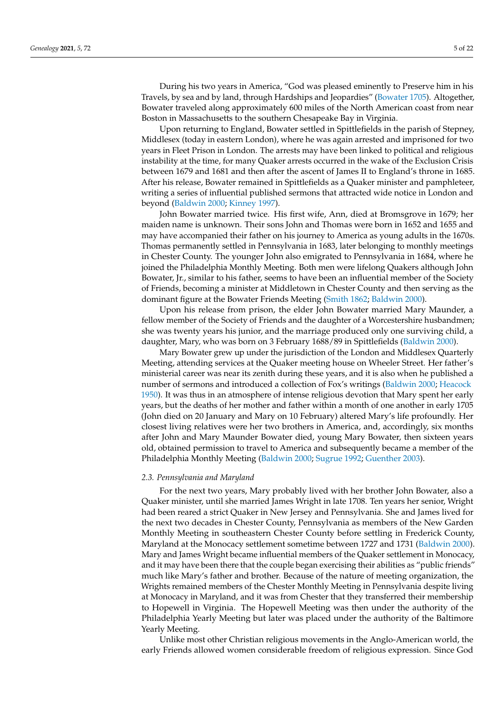During his two years in America, "God was pleased eminently to Preserve him in his Travels, by sea and by land, through Hardships and Jeopardies" [\(Bowater](#page-20-5) [1705\)](#page-20-5). Altogether, Bowater traveled along approximately 600 miles of the North American coast from near Boston in Massachusetts to the southern Chesapeake Bay in Virginia.

Upon returning to England, Bowater settled in Spittlefields in the parish of Stepney, Middlesex (today in eastern London), where he was again arrested and imprisoned for two years in Fleet Prison in London. The arrests may have been linked to political and religious instability at the time, for many Quaker arrests occurred in the wake of the Exclusion Crisis between 1679 and 1681 and then after the ascent of James II to England's throne in 1685. After his release, Bowater remained in Spittlefields as a Quaker minister and pamphleteer, writing a series of influential published sermons that attracted wide notice in London and beyond [\(Baldwin](#page-20-7) [2000;](#page-20-7) [Kinney](#page-21-28) [1997\)](#page-21-28).

John Bowater married twice. His first wife, Ann, died at Bromsgrove in 1679; her maiden name is unknown. Their sons John and Thomas were born in 1652 and 1655 and may have accompanied their father on his journey to America as young adults in the 1670s. Thomas permanently settled in Pennsylvania in 1683, later belonging to monthly meetings in Chester County. The younger John also emigrated to Pennsylvania in 1684, where he joined the Philadelphia Monthly Meeting. Both men were lifelong Quakers although John Bowater, Jr., similar to his father, seems to have been an influential member of the Society of Friends, becoming a minister at Middletown in Chester County and then serving as the dominant figure at the Bowater Friends Meeting [\(Smith](#page-22-7) [1862;](#page-22-7) [Baldwin](#page-20-7) [2000\)](#page-20-7).

Upon his release from prison, the elder John Bowater married Mary Maunder, a fellow member of the Society of Friends and the daughter of a Worcestershire husbandmen; she was twenty years his junior, and the marriage produced only one surviving child, a daughter, Mary, who was born on 3 February 1688/89 in Spittlefields [\(Baldwin](#page-20-7) [2000\)](#page-20-7).

Mary Bowater grew up under the jurisdiction of the London and Middlesex Quarterly Meeting, attending services at the Quaker meeting house on Wheeler Street. Her father's ministerial career was near its zenith during these years, and it is also when he published a number of sermons and introduced a collection of Fox's writings [\(Baldwin](#page-20-7) [2000;](#page-20-7) [Heacock](#page-21-29) [1950\)](#page-21-29). It was thus in an atmosphere of intense religious devotion that Mary spent her early years, but the deaths of her mother and father within a month of one another in early 1705 (John died on 20 January and Mary on 10 February) altered Mary's life profoundly. Her closest living relatives were her two brothers in America, and, accordingly, six months after John and Mary Maunder Bowater died, young Mary Bowater, then sixteen years old, obtained permission to travel to America and subsequently became a member of the Philadelphia Monthly Meeting [\(Baldwin](#page-20-7) [2000;](#page-20-7) [Sugrue](#page-22-3) [1992;](#page-22-3) [Guenther](#page-21-19) [2003\)](#page-21-19).

#### *2.3. Pennsylvania and Maryland*

For the next two years, Mary probably lived with her brother John Bowater, also a Quaker minister, until she married James Wright in late 1708. Ten years her senior, Wright had been reared a strict Quaker in New Jersey and Pennsylvania. She and James lived for the next two decades in Chester County, Pennsylvania as members of the New Garden Monthly Meeting in southeastern Chester County before settling in Frederick County, Maryland at the Monocacy settlement sometime between 1727 and 1731 [\(Baldwin](#page-20-7) [2000\)](#page-20-7). Mary and James Wright became influential members of the Quaker settlement in Monocacy, and it may have been there that the couple began exercising their abilities as "public friends" much like Mary's father and brother. Because of the nature of meeting organization, the Wrights remained members of the Chester Monthly Meeting in Pennsylvania despite living at Monocacy in Maryland, and it was from Chester that they transferred their membership to Hopewell in Virginia. The Hopewell Meeting was then under the authority of the Philadelphia Yearly Meeting but later was placed under the authority of the Baltimore Yearly Meeting.

Unlike most other Christian religious movements in the Anglo-American world, the early Friends allowed women considerable freedom of religious expression. Since God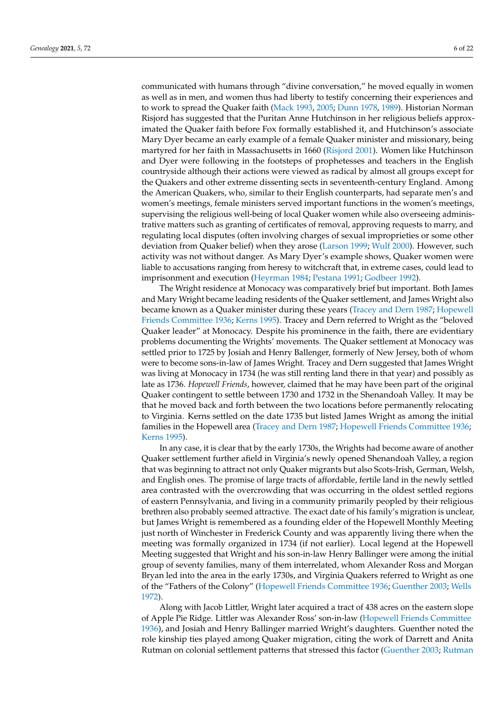communicated with humans through "divine conversation," he moved equally in women as well as in men, and women thus had liberty to testify concerning their experiences and to work to spread the Quaker faith [\(Mack](#page-21-13) [1993,](#page-21-13) [2005;](#page-21-14) [Dunn](#page-20-3) [1978,](#page-20-3) [1989\)](#page-20-4). Historian Norman Risjord has suggested that the Puritan Anne Hutchinson in her religious beliefs approximated the Quaker faith before Fox formally established it, and Hutchinson's associate Mary Dyer became an early example of a female Quaker minister and missionary, being martyred for her faith in Massachusetts in 1660 [\(Risjord](#page-22-8) [2001\)](#page-22-8). Women like Hutchinson and Dyer were following in the footsteps of prophetesses and teachers in the English countryside although their actions were viewed as radical by almost all groups except for the Quakers and other extreme dissenting sects in seventeenth-century England. Among the American Quakers, who, similar to their English counterparts, had separate men's and women's meetings, female ministers served important functions in the women's meetings, supervising the religious well-being of local Quaker women while also overseeing administrative matters such as granting of certificates of removal, approving requests to marry, and regulating local disputes (often involving charges of sexual improprieties or some other deviation from Quaker belief) when they arose [\(Larson](#page-21-17) [1999;](#page-21-17) [Wulf](#page-22-9) [2000\)](#page-22-9). However, such activity was not without danger. As Mary Dyer's example shows, Quaker women were liable to accusations ranging from heresy to witchcraft that, in extreme cases, could lead to imprisonment and execution [\(Heyrman](#page-21-15) [1984;](#page-21-15) [Pestana](#page-21-4) [1991;](#page-21-4) [Godbeer](#page-21-16) [1992\)](#page-21-16).

The Wright residence at Monocacy was comparatively brief but important. Both James and Mary Wright became leading residents of the Quaker settlement, and James Wright also became known as a Quaker minister during these years [\(Tracey and Dern](#page-22-6) [1987;](#page-22-6) [Hopewell](#page-21-0) [Friends Committee](#page-21-0) [1936;](#page-21-0) [Kerns](#page-21-22) [1995\)](#page-21-22). Tracey and Dern referred to Wright as the "beloved Quaker leader" at Monocacy. Despite his prominence in the faith, there are evidentiary problems documenting the Wrights' movements. The Quaker settlement at Monocacy was settled prior to 1725 by Josiah and Henry Ballenger, formerly of New Jersey, both of whom were to become sons-in-law of James Wright. Tracey and Dern suggested that James Wright was living at Monocacy in 1734 (he was still renting land there in that year) and possibly as late as 1736. *Hopewell Friends*, however, claimed that he may have been part of the original Quaker contingent to settle between 1730 and 1732 in the Shenandoah Valley. It may be that he moved back and forth between the two locations before permanently relocating to Virginia. Kerns settled on the date 1735 but listed James Wright as among the initial families in the Hopewell area [\(Tracey and Dern](#page-22-6) [1987;](#page-22-6) [Hopewell Friends Committee](#page-21-0) [1936;](#page-21-0) [Kerns](#page-21-22) [1995\)](#page-21-22).

In any case, it is clear that by the early 1730s, the Wrights had become aware of another Quaker settlement further afield in Virginia's newly opened Shenandoah Valley, a region that was beginning to attract not only Quaker migrants but also Scots-Irish, German, Welsh, and English ones. The promise of large tracts of affordable, fertile land in the newly settled area contrasted with the overcrowding that was occurring in the oldest settled regions of eastern Pennsylvania, and living in a community primarily peopled by their religious brethren also probably seemed attractive. The exact date of his family's migration is unclear, but James Wright is remembered as a founding elder of the Hopewell Monthly Meeting just north of Winchester in Frederick County and was apparently living there when the meeting was formally organized in 1734 (if not earlier). Local legend at the Hopewell Meeting suggested that Wright and his son-in-law Henry Ballinger were among the initial group of seventy families, many of them interrelated, whom Alexander Ross and Morgan Bryan led into the area in the early 1730s, and Virginia Quakers referred to Wright as one of the "Fathers of the Colony" [\(Hopewell Friends Committee](#page-21-0) [1936;](#page-21-0) [Guenther](#page-21-19) [2003;](#page-21-19) [Wells](#page-22-10) [1972\)](#page-22-10).

Along with Jacob Littler, Wright later acquired a tract of 438 acres on the eastern slope of Apple Pie Ridge. Littler was Alexander Ross' son-in-law [\(Hopewell Friends Committee](#page-21-0) [1936\)](#page-21-0), and Josiah and Henry Ballinger married Wright's daughters. Guenther noted the role kinship ties played among Quaker migration, citing the work of Darrett and Anita Rutman on colonial settlement patterns that stressed this factor [\(Guenther](#page-21-19) [2003;](#page-21-19) [Rutman](#page-22-11)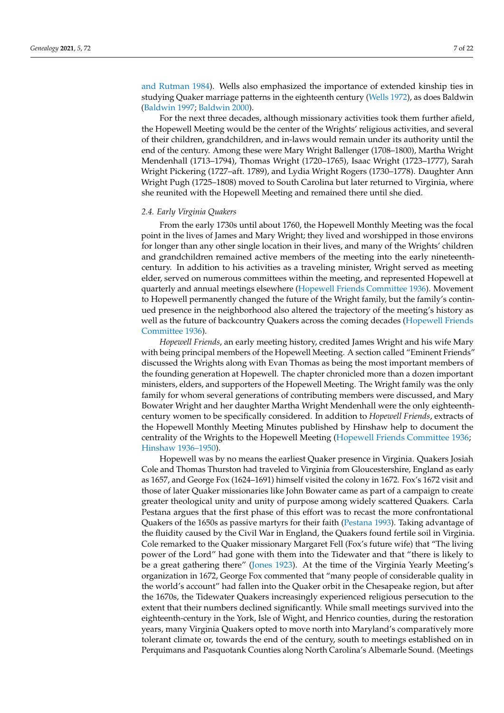[and Rutman](#page-22-11) [1984\)](#page-22-11). Wells also emphasized the importance of extended kinship ties in studying Quaker marriage patterns in the eighteenth century [\(Wells](#page-22-10) [1972\)](#page-22-10), as does Baldwin [\(Baldwin](#page-20-8) [1997;](#page-20-8) [Baldwin](#page-20-7) [2000\)](#page-20-7).

For the next three decades, although missionary activities took them further afield, the Hopewell Meeting would be the center of the Wrights' religious activities, and several of their children, grandchildren, and in-laws would remain under its authority until the end of the century. Among these were Mary Wright Ballenger (1708–1800), Martha Wright Mendenhall (1713–1794), Thomas Wright (1720–1765), Isaac Wright (1723–1777), Sarah Wright Pickering (1727–aft. 1789), and Lydia Wright Rogers (1730–1778). Daughter Ann Wright Pugh (1725–1808) moved to South Carolina but later returned to Virginia, where she reunited with the Hopewell Meeting and remained there until she died.

#### *2.4. Early Virginia Quakers*

From the early 1730s until about 1760, the Hopewell Monthly Meeting was the focal point in the lives of James and Mary Wright; they lived and worshipped in those environs for longer than any other single location in their lives, and many of the Wrights' children and grandchildren remained active members of the meeting into the early nineteenthcentury. In addition to his activities as a traveling minister, Wright served as meeting elder, served on numerous committees within the meeting, and represented Hopewell at quarterly and annual meetings elsewhere [\(Hopewell Friends Committee](#page-21-0) [1936\)](#page-21-0). Movement to Hopewell permanently changed the future of the Wright family, but the family's continued presence in the neighborhood also altered the trajectory of the meeting's history as well as the future of backcountry Quakers across the coming decades [\(Hopewell Friends](#page-21-0) [Committee](#page-21-0) [1936\)](#page-21-0).

*Hopewell Friends*, an early meeting history, credited James Wright and his wife Mary with being principal members of the Hopewell Meeting. A section called "Eminent Friends" discussed the Wrights along with Evan Thomas as being the most important members of the founding generation at Hopewell. The chapter chronicled more than a dozen important ministers, elders, and supporters of the Hopewell Meeting. The Wright family was the only family for whom several generations of contributing members were discussed, and Mary Bowater Wright and her daughter Martha Wright Mendenhall were the only eighteenthcentury women to be specifically considered. In addition to *Hopewell Friends*, extracts of the Hopewell Monthly Meeting Minutes published by Hinshaw help to document the centrality of the Wrights to the Hopewell Meeting [\(Hopewell Friends Committee](#page-21-0) [1936;](#page-21-0) [Hinshaw](#page-21-21) [1936–1950\)](#page-21-21).

Hopewell was by no means the earliest Quaker presence in Virginia. Quakers Josiah Cole and Thomas Thurston had traveled to Virginia from Gloucestershire, England as early as 1657, and George Fox (1624–1691) himself visited the colony in 1672. Fox's 1672 visit and those of later Quaker missionaries like John Bowater came as part of a campaign to create greater theological unity and unity of purpose among widely scattered Quakers. Carla Pestana argues that the first phase of this effort was to recast the more confrontational Quakers of the 1650s as passive martyrs for their faith [\(Pestana](#page-21-5) [1993\)](#page-21-5). Taking advantage of the fluidity caused by the Civil War in England, the Quakers found fertile soil in Virginia. Cole remarked to the Quaker missionary Margaret Fell (Fox's future wife) that "The living power of the Lord" had gone with them into the Tidewater and that "there is likely to be a great gathering there" [\(Jones](#page-21-1) [1923\)](#page-21-1). At the time of the Virginia Yearly Meeting's organization in 1672, George Fox commented that "many people of considerable quality in the world's account" had fallen into the Quaker orbit in the Chesapeake region, but after the 1670s, the Tidewater Quakers increasingly experienced religious persecution to the extent that their numbers declined significantly. While small meetings survived into the eighteenth-century in the York, Isle of Wight, and Henrico counties, during the restoration years, many Virginia Quakers opted to move north into Maryland's comparatively more tolerant climate or, towards the end of the century, south to meetings established on in Perquimans and Pasquotank Counties along North Carolina's Albemarle Sound. (Meetings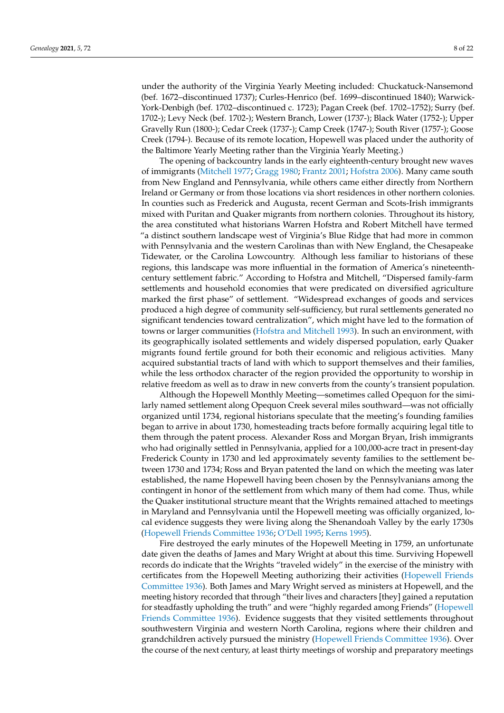under the authority of the Virginia Yearly Meeting included: Chuckatuck-Nansemond (bef. 1672–discontinued 1737); Curles-Henrico (bef. 1699–discontinued 1840); Warwick-York-Denbigh (bef. 1702–discontinued c. 1723); Pagan Creek (bef. 1702–1752); Surry (bef. 1702-); Levy Neck (bef. 1702-); Western Branch, Lower (1737-); Black Water (1752-); Upper Gravelly Run (1800-); Cedar Creek (1737-); Camp Creek (1747-); South River (1757-); Goose Creek (1794-). Because of its remote location, Hopewell was placed under the authority of the Baltimore Yearly Meeting rather than the Virginia Yearly Meeting.)

The opening of backcountry lands in the early eighteenth-century brought new waves of immigrants [\(Mitchell](#page-21-30) [1977;](#page-21-30) [Gragg](#page-21-31) [1980;](#page-21-31) [Frantz](#page-20-9) [2001;](#page-20-9) [Hofstra](#page-21-32) [2006\)](#page-21-32). Many came south from New England and Pennsylvania, while others came either directly from Northern Ireland or Germany or from those locations via short residences in other northern colonies. In counties such as Frederick and Augusta, recent German and Scots-Irish immigrants mixed with Puritan and Quaker migrants from northern colonies. Throughout its history, the area constituted what historians Warren Hofstra and Robert Mitchell have termed "a distinct southern landscape west of Virginia's Blue Ridge that had more in common with Pennsylvania and the western Carolinas than with New England, the Chesapeake Tidewater, or the Carolina Lowcountry. Although less familiar to historians of these regions, this landscape was more influential in the formation of America's nineteenthcentury settlement fabric." According to Hofstra and Mitchell, "Dispersed family-farm settlements and household economies that were predicated on diversified agriculture marked the first phase" of settlement. "Widespread exchanges of goods and services produced a high degree of community self-sufficiency, but rural settlements generated no significant tendencies toward centralization", which might have led to the formation of towns or larger communities [\(Hofstra and Mitchell](#page-21-33) [1993\)](#page-21-33). In such an environment, with its geographically isolated settlements and widely dispersed population, early Quaker migrants found fertile ground for both their economic and religious activities. Many acquired substantial tracts of land with which to support themselves and their families, while the less orthodox character of the region provided the opportunity to worship in relative freedom as well as to draw in new converts from the county's transient population.

Although the Hopewell Monthly Meeting—sometimes called Opequon for the similarly named settlement along Opequon Creek several miles southward—was not officially organized until 1734, regional historians speculate that the meeting's founding families began to arrive in about 1730, homesteading tracts before formally acquiring legal title to them through the patent process. Alexander Ross and Morgan Bryan, Irish immigrants who had originally settled in Pennsylvania, applied for a 100,000-acre tract in present-day Frederick County in 1730 and led approximately seventy families to the settlement between 1730 and 1734; Ross and Bryan patented the land on which the meeting was later established, the name Hopewell having been chosen by the Pennsylvanians among the contingent in honor of the settlement from which many of them had come. Thus, while the Quaker institutional structure meant that the Wrights remained attached to meetings in Maryland and Pennsylvania until the Hopewell meeting was officially organized, local evidence suggests they were living along the Shenandoah Valley by the early 1730s [\(Hopewell Friends Committee](#page-21-0) [1936;](#page-21-0) [O'Dell](#page-21-23) [1995;](#page-21-23) [Kerns](#page-21-22) [1995\)](#page-21-22).

Fire destroyed the early minutes of the Hopewell Meeting in 1759, an unfortunate date given the deaths of James and Mary Wright at about this time. Surviving Hopewell records do indicate that the Wrights "traveled widely" in the exercise of the ministry with certificates from the Hopewell Meeting authorizing their activities [\(Hopewell Friends](#page-21-0) [Committee](#page-21-0) [1936\)](#page-21-0). Both James and Mary Wright served as ministers at Hopewell, and the meeting history recorded that through "their lives and characters [they] gained a reputation for steadfastly upholding the truth" and were "highly regarded among Friends" [\(Hopewell](#page-21-0) [Friends Committee](#page-21-0) [1936\)](#page-21-0). Evidence suggests that they visited settlements throughout southwestern Virginia and western North Carolina, regions where their children and grandchildren actively pursued the ministry [\(Hopewell Friends Committee](#page-21-0) [1936\)](#page-21-0). Over the course of the next century, at least thirty meetings of worship and preparatory meetings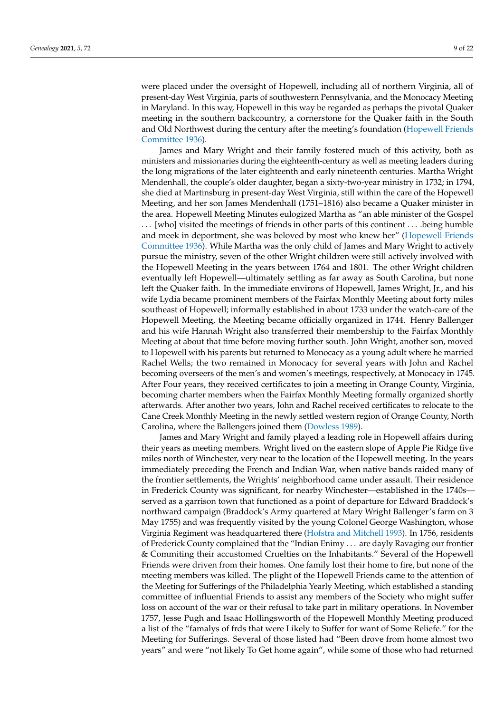were placed under the oversight of Hopewell, including all of northern Virginia, all of present-day West Virginia, parts of southwestern Pennsylvania, and the Monocacy Meeting in Maryland. In this way, Hopewell in this way be regarded as perhaps the pivotal Quaker meeting in the southern backcountry, a cornerstone for the Quaker faith in the South and Old Northwest during the century after the meeting's foundation [\(Hopewell Friends](#page-21-0) [Committee](#page-21-0) [1936\)](#page-21-0).

James and Mary Wright and their family fostered much of this activity, both as ministers and missionaries during the eighteenth-century as well as meeting leaders during the long migrations of the later eighteenth and early nineteenth centuries. Martha Wright Mendenhall, the couple's older daughter, began a sixty-two-year ministry in 1732; in 1794, she died at Martinsburg in present-day West Virginia, still within the care of the Hopewell Meeting, and her son James Mendenhall (1751–1816) also became a Quaker minister in the area. Hopewell Meeting Minutes eulogized Martha as "an able minister of the Gospel . . . [who] visited the meetings of friends in other parts of this continent . . . .being humble and meek in deportment, she was beloved by most who knew her" [\(Hopewell Friends](#page-21-0) [Committee](#page-21-0) [1936\)](#page-21-0). While Martha was the only child of James and Mary Wright to actively pursue the ministry, seven of the other Wright children were still actively involved with the Hopewell Meeting in the years between 1764 and 1801. The other Wright children eventually left Hopewell—ultimately settling as far away as South Carolina, but none left the Quaker faith. In the immediate environs of Hopewell, James Wright, Jr., and his wife Lydia became prominent members of the Fairfax Monthly Meeting about forty miles southeast of Hopewell; informally established in about 1733 under the watch-care of the Hopewell Meeting, the Meeting became officially organized in 1744. Henry Ballenger and his wife Hannah Wright also transferred their membership to the Fairfax Monthly Meeting at about that time before moving further south. John Wright, another son, moved to Hopewell with his parents but returned to Monocacy as a young adult where he married Rachel Wells; the two remained in Monocacy for several years with John and Rachel becoming overseers of the men's and women's meetings, respectively, at Monocacy in 1745. After Four years, they received certificates to join a meeting in Orange County, Virginia, becoming charter members when the Fairfax Monthly Meeting formally organized shortly afterwards. After another two years, John and Rachel received certificates to relocate to the Cane Creek Monthly Meeting in the newly settled western region of Orange County, North Carolina, where the Ballengers joined them [\(Dowless](#page-20-10) [1989\)](#page-20-10).

James and Mary Wright and family played a leading role in Hopewell affairs during their years as meeting members. Wright lived on the eastern slope of Apple Pie Ridge five miles north of Winchester, very near to the location of the Hopewell meeting. In the years immediately preceding the French and Indian War, when native bands raided many of the frontier settlements, the Wrights' neighborhood came under assault. Their residence in Frederick County was significant, for nearby Winchester—established in the 1740s served as a garrison town that functioned as a point of departure for Edward Braddock's northward campaign (Braddock's Army quartered at Mary Wright Ballenger's farm on 3 May 1755) and was frequently visited by the young Colonel George Washington, whose Virginia Regiment was headquartered there [\(Hofstra and Mitchell](#page-21-33) [1993\)](#page-21-33). In 1756, residents of Frederick County complained that the "Indian Enimy . . . are dayly Ravaging our frontier & Commiting their accustomed Cruelties on the Inhabitants." Several of the Hopewell Friends were driven from their homes. One family lost their home to fire, but none of the meeting members was killed. The plight of the Hopewell Friends came to the attention of the Meeting for Sufferings of the Philadelphia Yearly Meeting, which established a standing committee of influential Friends to assist any members of the Society who might suffer loss on account of the war or their refusal to take part in military operations. In November 1757, Jesse Pugh and Isaac Hollingsworth of the Hopewell Monthly Meeting produced a list of the "famalys of frds that were Likely to Suffer for want of Some Reliefe." for the Meeting for Sufferings. Several of those listed had "Been drove from home almost two years" and were "not likely To Get home again", while some of those who had returned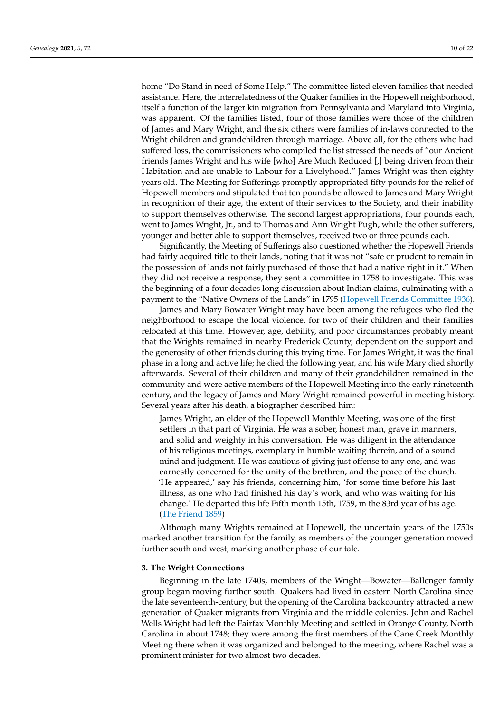home "Do Stand in need of Some Help." The committee listed eleven families that needed assistance. Here, the interrelatedness of the Quaker families in the Hopewell neighborhood, itself a function of the larger kin migration from Pennsylvania and Maryland into Virginia, was apparent. Of the families listed, four of those families were those of the children of James and Mary Wright, and the six others were families of in-laws connected to the Wright children and grandchildren through marriage. Above all, for the others who had suffered loss, the commissioners who compiled the list stressed the needs of "our Ancient friends James Wright and his wife [who] Are Much Reduced [,] being driven from their Habitation and are unable to Labour for a Livelyhood." James Wright was then eighty years old. The Meeting for Sufferings promptly appropriated fifty pounds for the relief of Hopewell members and stipulated that ten pounds be allowed to James and Mary Wright in recognition of their age, the extent of their services to the Society, and their inability to support themselves otherwise. The second largest appropriations, four pounds each, went to James Wright, Jr., and to Thomas and Ann Wright Pugh, while the other sufferers, younger and better able to support themselves, received two or three pounds each.

Significantly, the Meeting of Sufferings also questioned whether the Hopewell Friends had fairly acquired title to their lands, noting that it was not "safe or prudent to remain in the possession of lands not fairly purchased of those that had a native right in it." When they did not receive a response, they sent a committee in 1758 to investigate. This was the beginning of a four decades long discussion about Indian claims, culminating with a payment to the "Native Owners of the Lands" in 1795 [\(Hopewell Friends Committee](#page-21-0) [1936\)](#page-21-0).

James and Mary Bowater Wright may have been among the refugees who fled the neighborhood to escape the local violence, for two of their children and their families relocated at this time. However, age, debility, and poor circumstances probably meant that the Wrights remained in nearby Frederick County, dependent on the support and the generosity of other friends during this trying time. For James Wright, it was the final phase in a long and active life; he died the following year, and his wife Mary died shortly afterwards. Several of their children and many of their grandchildren remained in the community and were active members of the Hopewell Meeting into the early nineteenth century, and the legacy of James and Mary Wright remained powerful in meeting history. Several years after his death, a biographer described him:

James Wright, an elder of the Hopewell Monthly Meeting, was one of the first settlers in that part of Virginia. He was a sober, honest man, grave in manners, and solid and weighty in his conversation. He was diligent in the attendance of his religious meetings, exemplary in humble waiting therein, and of a sound mind and judgment. He was cautious of giving just offense to any one, and was earnestly concerned for the unity of the brethren, and the peace of the church. 'He appeared,' say his friends, concerning him, 'for some time before his last illness, as one who had finished his day's work, and who was waiting for his change.' He departed this life Fifth month 15th, 1759, in the 83rd year of his age. [\(The Friend](#page-22-12) [1859\)](#page-22-12)

Although many Wrights remained at Hopewell, the uncertain years of the 1750s marked another transition for the family, as members of the younger generation moved further south and west, marking another phase of our tale.

#### **3. The Wright Connections**

Beginning in the late 1740s, members of the Wright—Bowater—Ballenger family group began moving further south. Quakers had lived in eastern North Carolina since the late seventeenth-century, but the opening of the Carolina backcountry attracted a new generation of Quaker migrants from Virginia and the middle colonies. John and Rachel Wells Wright had left the Fairfax Monthly Meeting and settled in Orange County, North Carolina in about 1748; they were among the first members of the Cane Creek Monthly Meeting there when it was organized and belonged to the meeting, where Rachel was a prominent minister for two almost two decades.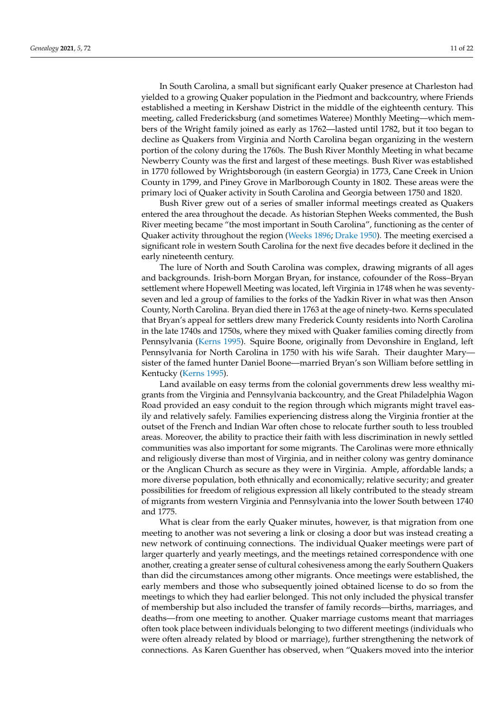In South Carolina, a small but significant early Quaker presence at Charleston had yielded to a growing Quaker population in the Piedmont and backcountry, where Friends established a meeting in Kershaw District in the middle of the eighteenth century. This meeting, called Fredericksburg (and sometimes Wateree) Monthly Meeting—which members of the Wright family joined as early as 1762—lasted until 1782, but it too began to decline as Quakers from Virginia and North Carolina began organizing in the western portion of the colony during the 1760s. The Bush River Monthly Meeting in what became Newberry County was the first and largest of these meetings. Bush River was established in 1770 followed by Wrightsborough (in eastern Georgia) in 1773, Cane Creek in Union County in 1799, and Piney Grove in Marlborough County in 1802. These areas were the primary loci of Quaker activity in South Carolina and Georgia between 1750 and 1820.

Bush River grew out of a series of smaller informal meetings created as Quakers entered the area throughout the decade. As historian Stephen Weeks commented, the Bush River meeting became "the most important in South Carolina", functioning as the center of Quaker activity throughout the region [\(Weeks](#page-22-13) [1896;](#page-22-13) [Drake](#page-20-11) [1950\)](#page-20-11). The meeting exercised a significant role in western South Carolina for the next five decades before it declined in the early nineteenth century.

The lure of North and South Carolina was complex, drawing migrants of all ages and backgrounds. Irish-born Morgan Bryan, for instance, cofounder of the Ross–Bryan settlement where Hopewell Meeting was located, left Virginia in 1748 when he was seventyseven and led a group of families to the forks of the Yadkin River in what was then Anson County, North Carolina. Bryan died there in 1763 at the age of ninety-two. Kerns speculated that Bryan's appeal for settlers drew many Frederick County residents into North Carolina in the late 1740s and 1750s, where they mixed with Quaker families coming directly from Pennsylvania [\(Kerns](#page-21-22) [1995\)](#page-21-22). Squire Boone, originally from Devonshire in England, left Pennsylvania for North Carolina in 1750 with his wife Sarah. Their daughter Mary sister of the famed hunter Daniel Boone—married Bryan's son William before settling in Kentucky [\(Kerns](#page-21-22) [1995\)](#page-21-22).

Land available on easy terms from the colonial governments drew less wealthy migrants from the Virginia and Pennsylvania backcountry, and the Great Philadelphia Wagon Road provided an easy conduit to the region through which migrants might travel easily and relatively safely. Families experiencing distress along the Virginia frontier at the outset of the French and Indian War often chose to relocate further south to less troubled areas. Moreover, the ability to practice their faith with less discrimination in newly settled communities was also important for some migrants. The Carolinas were more ethnically and religiously diverse than most of Virginia, and in neither colony was gentry dominance or the Anglican Church as secure as they were in Virginia. Ample, affordable lands; a more diverse population, both ethnically and economically; relative security; and greater possibilities for freedom of religious expression all likely contributed to the steady stream of migrants from western Virginia and Pennsylvania into the lower South between 1740 and 1775.

What is clear from the early Quaker minutes, however, is that migration from one meeting to another was not severing a link or closing a door but was instead creating a new network of continuing connections. The individual Quaker meetings were part of larger quarterly and yearly meetings, and the meetings retained correspondence with one another, creating a greater sense of cultural cohesiveness among the early Southern Quakers than did the circumstances among other migrants. Once meetings were established, the early members and those who subsequently joined obtained license to do so from the meetings to which they had earlier belonged. This not only included the physical transfer of membership but also included the transfer of family records—births, marriages, and deaths—from one meeting to another. Quaker marriage customs meant that marriages often took place between individuals belonging to two different meetings (individuals who were often already related by blood or marriage), further strengthening the network of connections. As Karen Guenther has observed, when "Quakers moved into the interior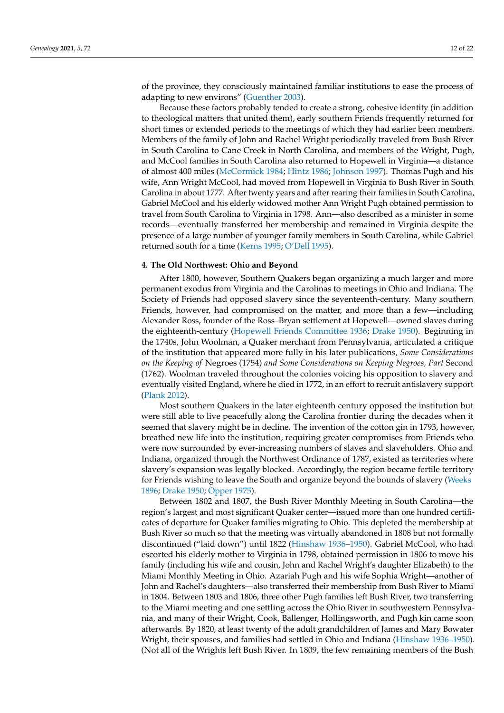of the province, they consciously maintained familiar institutions to ease the process of adapting to new environs" [\(Guenther](#page-21-19) [2003\)](#page-21-19).

Because these factors probably tended to create a strong, cohesive identity (in addition to theological matters that united them), early southern Friends frequently returned for short times or extended periods to the meetings of which they had earlier been members. Members of the family of John and Rachel Wright periodically traveled from Bush River in South Carolina to Cane Creek in North Carolina, and members of the Wright, Pugh, and McCool families in South Carolina also returned to Hopewell in Virginia—a distance of almost 400 miles [\(McCormick](#page-21-24) [1984;](#page-21-24) [Hintz](#page-21-25) [1986;](#page-21-25) [Johnson](#page-21-26) [1997\)](#page-21-26). Thomas Pugh and his wife, Ann Wright McCool, had moved from Hopewell in Virginia to Bush River in South Carolina in about 1777. After twenty years and after rearing their families in South Carolina, Gabriel McCool and his elderly widowed mother Ann Wright Pugh obtained permission to travel from South Carolina to Virginia in 1798. Ann—also described as a minister in some records—eventually transferred her membership and remained in Virginia despite the presence of a large number of younger family members in South Carolina, while Gabriel returned south for a time [\(Kerns](#page-21-22) [1995;](#page-21-22) [O'Dell](#page-21-23) [1995\)](#page-21-23).

#### **4. The Old Northwest: Ohio and Beyond**

After 1800, however, Southern Quakers began organizing a much larger and more permanent exodus from Virginia and the Carolinas to meetings in Ohio and Indiana. The Society of Friends had opposed slavery since the seventeenth-century. Many southern Friends, however, had compromised on the matter, and more than a few—including Alexander Ross, founder of the Ross–Bryan settlement at Hopewell—owned slaves during the eighteenth-century [\(Hopewell Friends Committee](#page-21-0) [1936;](#page-21-0) [Drake](#page-20-11) [1950\)](#page-20-11). Beginning in the 1740s, John Woolman, a Quaker merchant from Pennsylvania, articulated a critique of the institution that appeared more fully in his later publications, *Some Considerations on the Keeping of* Negroes (1754) *and Some Considerations on Keeping Negroes, Part* Second (1762). Woolman traveled throughout the colonies voicing his opposition to slavery and eventually visited England, where he died in 1772, in an effort to recruit antislavery support [\(Plank](#page-21-34) [2012\)](#page-21-34).

Most southern Quakers in the later eighteenth century opposed the institution but were still able to live peacefully along the Carolina frontier during the decades when it seemed that slavery might be in decline. The invention of the cotton gin in 1793, however, breathed new life into the institution, requiring greater compromises from Friends who were now surrounded by ever-increasing numbers of slaves and slaveholders. Ohio and Indiana, organized through the Northwest Ordinance of 1787, existed as territories where slavery's expansion was legally blocked. Accordingly, the region became fertile territory for Friends wishing to leave the South and organize beyond the bounds of slavery [\(Weeks](#page-22-13) [1896;](#page-22-13) [Drake](#page-20-11) [1950;](#page-20-11) [Opper](#page-21-35) [1975\)](#page-21-35).

Between 1802 and 1807, the Bush River Monthly Meeting in South Carolina—the region's largest and most significant Quaker center—issued more than one hundred certificates of departure for Quaker families migrating to Ohio. This depleted the membership at Bush River so much so that the meeting was virtually abandoned in 1808 but not formally discontinued ("laid down") until 1822 [\(Hinshaw](#page-21-21) [1936–1950\)](#page-21-21). Gabriel McCool, who had escorted his elderly mother to Virginia in 1798, obtained permission in 1806 to move his family (including his wife and cousin, John and Rachel Wright's daughter Elizabeth) to the Miami Monthly Meeting in Ohio. Azariah Pugh and his wife Sophia Wright—another of John and Rachel's daughters—also transferred their membership from Bush River to Miami in 1804. Between 1803 and 1806, three other Pugh families left Bush River, two transferring to the Miami meeting and one settling across the Ohio River in southwestern Pennsylvania, and many of their Wright, Cook, Ballenger, Hollingsworth, and Pugh kin came soon afterwards. By 1820, at least twenty of the adult grandchildren of James and Mary Bowater Wright, their spouses, and families had settled in Ohio and Indiana [\(Hinshaw](#page-21-21) [1936–1950\)](#page-21-21). (Not all of the Wrights left Bush River. In 1809, the few remaining members of the Bush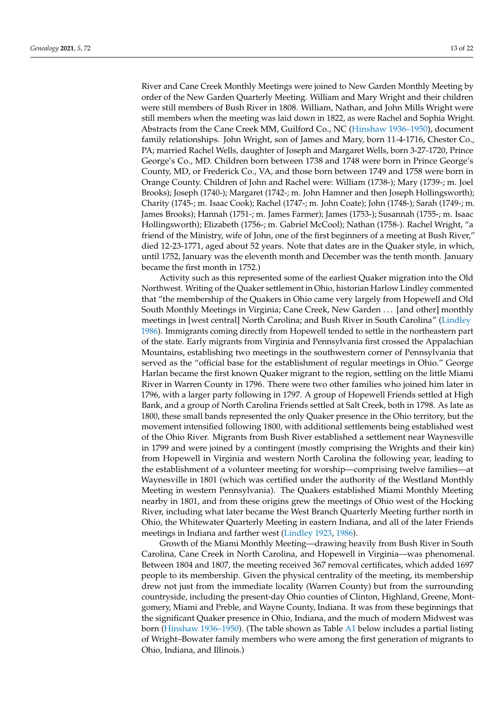River and Cane Creek Monthly Meetings were joined to New Garden Monthly Meeting by order of the New Garden Quarterly Meeting. William and Mary Wright and their children were still members of Bush River in 1808. William, Nathan, and John Mills Wright were still members when the meeting was laid down in 1822, as were Rachel and Sophia Wright. Abstracts from the Cane Creek MM, Guilford Co., NC [\(Hinshaw](#page-21-21) [1936–1950\)](#page-21-21), document family relationships. John Wright, son of James and Mary, born 11-4-1716, Chester Co., PA; married Rachel Wells, daughter of Joseph and Margaret Wells, born 3-27-1720, Prince George's Co., MD. Children born between 1738 and 1748 were born in Prince George's County, MD, or Frederick Co., VA, and those born between 1749 and 1758 were born in Orange County. Children of John and Rachel were: William (1738-); Mary (1739-; m. Joel Brooks); Joseph (1740-); Margaret (1742-; m. John Hamner and then Joseph Hollingsworth); Charity (1745-; m. Isaac Cook); Rachel (1747-; m. John Coate); John (1748-); Sarah (1749-; m. James Brooks); Hannah (1751-; m. James Farmer); James (1753-); Susannah (1755-; m. Isaac Hollingsworth); Elizabeth (1756-; m. Gabriel McCool); Nathan (1758-). Rachel Wright, "a friend of the Ministry, wife of John, one of the first beginners of a meeting at Bush River," died 12-23-1771, aged about 52 years. Note that dates are in the Quaker style, in which, until 1752, January was the eleventh month and December was the tenth month. January became the first month in 1752.)

Activity such as this represented some of the earliest Quaker migration into the Old Northwest. Writing of the Quaker settlement in Ohio, historian Harlow Lindley commented that "the membership of the Quakers in Ohio came very largely from Hopewell and Old South Monthly Meetings in Virginia; Cane Creek, New Garden . . . [and other] monthly meetings in [west central] North Carolina; and Bush River in South Carolina" [\(Lindley](#page-21-36) [1986\)](#page-21-36). Immigrants coming directly from Hopewell tended to settle in the northeastern part of the state. Early migrants from Virginia and Pennsylvania first crossed the Appalachian Mountains, establishing two meetings in the southwestern corner of Pennsylvania that served as the "official base for the establishment of regular meetings in Ohio." George Harlan became the first known Quaker migrant to the region, settling on the little Miami River in Warren County in 1796. There were two other families who joined him later in 1796, with a larger party following in 1797. A group of Hopewell Friends settled at High Bank, and a group of North Carolina Friends settled at Salt Creek, both in 1798. As late as 1800, these small bands represented the only Quaker presence in the Ohio territory, but the movement intensified following 1800, with additional settlements being established west of the Ohio River. Migrants from Bush River established a settlement near Waynesville in 1799 and were joined by a contingent (mostly comprising the Wrights and their kin) from Hopewell in Virginia and western North Carolina the following year, leading to the establishment of a volunteer meeting for worship—comprising twelve families—at Waynesville in 1801 (which was certified under the authority of the Westland Monthly Meeting in western Pennsylvania). The Quakers established Miami Monthly Meeting nearby in 1801, and from these origins grew the meetings of Ohio west of the Hocking River, including what later became the West Branch Quarterly Meeting further north in Ohio, the Whitewater Quarterly Meeting in eastern Indiana, and all of the later Friends meetings in Indiana and farther west [\(Lindley](#page-21-37) [1923,](#page-21-37) [1986\)](#page-21-36).

Growth of the Miami Monthly Meeting—drawing heavily from Bush River in South Carolina, Cane Creek in North Carolina, and Hopewell in Virginia—was phenomenal. Between 1804 and 1807, the meeting received 367 removal certificates, which added 1697 people to its membership. Given the physical centrality of the meeting, its membership drew not just from the immediate locality (Warren County) but from the surrounding countryside, including the present-day Ohio counties of Clinton, Highland, Greene, Montgomery, Miami and Preble, and Wayne County, Indiana. It was from these beginnings that the significant Quaker presence in Ohio, Indiana, and the much of modern Midwest was born [\(Hinshaw](#page-21-21) [1936–1950\)](#page-21-21). (The table shown as Table [A1](#page-20-12) below includes a partial listing of Wright–Bowater family members who were among the first generation of migrants to Ohio, Indiana, and Illinois.)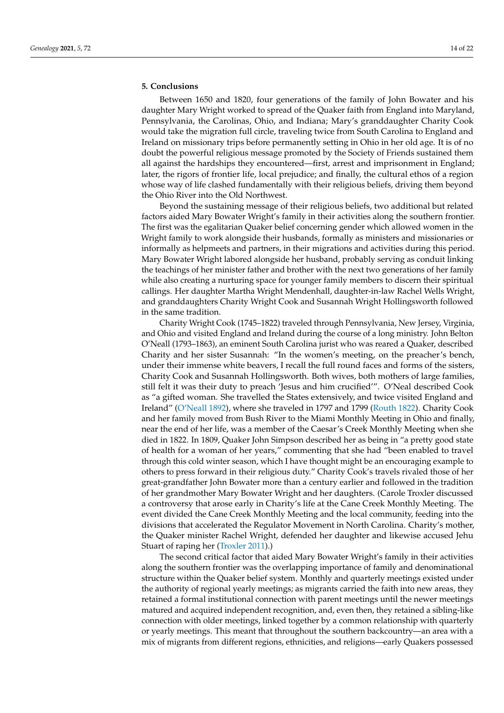#### **5. Conclusions**

Between 1650 and 1820, four generations of the family of John Bowater and his daughter Mary Wright worked to spread of the Quaker faith from England into Maryland, Pennsylvania, the Carolinas, Ohio, and Indiana; Mary's granddaughter Charity Cook would take the migration full circle, traveling twice from South Carolina to England and Ireland on missionary trips before permanently setting in Ohio in her old age. It is of no doubt the powerful religious message promoted by the Society of Friends sustained them all against the hardships they encountered—first, arrest and imprisonment in England; later, the rigors of frontier life, local prejudice; and finally, the cultural ethos of a region whose way of life clashed fundamentally with their religious beliefs, driving them beyond the Ohio River into the Old Northwest.

Beyond the sustaining message of their religious beliefs, two additional but related factors aided Mary Bowater Wright's family in their activities along the southern frontier. The first was the egalitarian Quaker belief concerning gender which allowed women in the Wright family to work alongside their husbands, formally as ministers and missionaries or informally as helpmeets and partners, in their migrations and activities during this period. Mary Bowater Wright labored alongside her husband, probably serving as conduit linking the teachings of her minister father and brother with the next two generations of her family while also creating a nurturing space for younger family members to discern their spiritual callings. Her daughter Martha Wright Mendenhall, daughter-in-law Rachel Wells Wright, and granddaughters Charity Wright Cook and Susannah Wright Hollingsworth followed in the same tradition.

Charity Wright Cook (1745–1822) traveled through Pennsylvania, New Jersey, Virginia, and Ohio and visited England and Ireland during the course of a long ministry. John Belton O'Neall (1793–1863), an eminent South Carolina jurist who was reared a Quaker, described Charity and her sister Susannah: "In the women's meeting, on the preacher's bench, under their immense white beavers, I recall the full round faces and forms of the sisters, Charity Cook and Susannah Hollingsworth. Both wives, both mothers of large families, still felt it was their duty to preach 'Jesus and him crucified'". O'Neal described Cook as "a gifted woman. She travelled the States extensively, and twice visited England and Ireland" [\(O'Neall](#page-21-20) [1892\)](#page-21-20), where she traveled in 1797 and 1799 [\(Routh](#page-22-5) [1822\)](#page-22-5). Charity Cook and her family moved from Bush River to the Miami Monthly Meeting in Ohio and finally, near the end of her life, was a member of the Caesar's Creek Monthly Meeting when she died in 1822. In 1809, Quaker John Simpson described her as being in "a pretty good state of health for a woman of her years," commenting that she had "been enabled to travel through this cold winter season, which I have thought might be an encouraging example to others to press forward in their religious duty." Charity Cook's travels rivaled those of her great-grandfather John Bowater more than a century earlier and followed in the tradition of her grandmother Mary Bowater Wright and her daughters. (Carole Troxler discussed a controversy that arose early in Charity's life at the Cane Creek Monthly Meeting. The event divided the Cane Creek Monthly Meeting and the local community, feeding into the divisions that accelerated the Regulator Movement in North Carolina. Charity's mother, the Quaker minister Rachel Wright, defended her daughter and likewise accused Jehu Stuart of raping her [\(Troxler](#page-22-14) [2011\)](#page-22-14).)

The second critical factor that aided Mary Bowater Wright's family in their activities along the southern frontier was the overlapping importance of family and denominational structure within the Quaker belief system. Monthly and quarterly meetings existed under the authority of regional yearly meetings; as migrants carried the faith into new areas, they retained a formal institutional connection with parent meetings until the newer meetings matured and acquired independent recognition, and, even then, they retained a sibling-like connection with older meetings, linked together by a common relationship with quarterly or yearly meetings. This meant that throughout the southern backcountry—an area with a mix of migrants from different regions, ethnicities, and religions—early Quakers possessed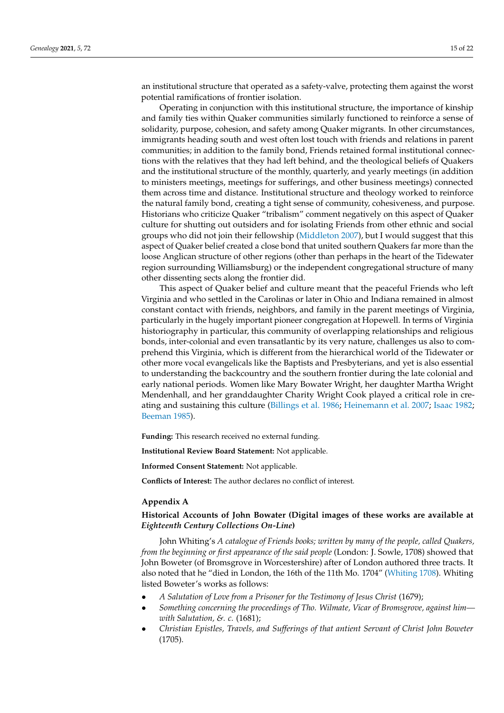an institutional structure that operated as a safety-valve, protecting them against the worst potential ramifications of frontier isolation.

Operating in conjunction with this institutional structure, the importance of kinship and family ties within Quaker communities similarly functioned to reinforce a sense of solidarity, purpose, cohesion, and safety among Quaker migrants. In other circumstances, immigrants heading south and west often lost touch with friends and relations in parent communities; in addition to the family bond, Friends retained formal institutional connections with the relatives that they had left behind, and the theological beliefs of Quakers and the institutional structure of the monthly, quarterly, and yearly meetings (in addition to ministers meetings, meetings for sufferings, and other business meetings) connected them across time and distance. Institutional structure and theology worked to reinforce the natural family bond, creating a tight sense of community, cohesiveness, and purpose. Historians who criticize Quaker "tribalism" comment negatively on this aspect of Quaker culture for shutting out outsiders and for isolating Friends from other ethnic and social groups who did not join their fellowship [\(Middleton](#page-21-38) [2007\)](#page-21-38), but I would suggest that this aspect of Quaker belief created a close bond that united southern Quakers far more than the loose Anglican structure of other regions (other than perhaps in the heart of the Tidewater region surrounding Williamsburg) or the independent congregational structure of many other dissenting sects along the frontier did.

This aspect of Quaker belief and culture meant that the peaceful Friends who left Virginia and who settled in the Carolinas or later in Ohio and Indiana remained in almost constant contact with friends, neighbors, and family in the parent meetings of Virginia, particularly in the hugely important pioneer congregation at Hopewell. In terms of Virginia historiography in particular, this community of overlapping relationships and religious bonds, inter-colonial and even transatlantic by its very nature, challenges us also to comprehend this Virginia, which is different from the hierarchical world of the Tidewater or other more vocal evangelicals like the Baptists and Presbyterians, and yet is also essential to understanding the backcountry and the southern frontier during the late colonial and early national periods. Women like Mary Bowater Wright, her daughter Martha Wright Mendenhall, and her granddaughter Charity Wright Cook played a critical role in creating and sustaining this culture [\(Billings et al.](#page-20-13) [1986;](#page-20-13) [Heinemann et al.](#page-21-39) [2007;](#page-21-39) [Isaac](#page-21-40) [1982;](#page-21-40) [Beeman](#page-20-14) [1985\)](#page-20-14).

**Funding:** This research received no external funding.

**Institutional Review Board Statement:** Not applicable.

**Informed Consent Statement:** Not applicable.

**Conflicts of Interest:** The author declares no conflict of interest.

#### <span id="page-15-0"></span>**Appendix A**

### **Historical Accounts of John Bowater (Digital images of these works are available at** *Eighteenth Century Collections On-Line***)**

John Whiting's *A catalogue of Friends books; written by many of the people, called Quakers, from the beginning or first appearance of the said people* (London: J. Sowle, 1708) showed that John Boweter (of Bromsgrove in Worcestershire) after of London authored three tracts. It also noted that he "died in London, the 16th of the 11th Mo. 1704" [\(Whiting](#page-22-4) [1708\)](#page-22-4). Whiting listed Boweter's works as follows:

- *A Salutation of Love from a Prisoner for the Testimony of Jesus Christ* (1679);
- *Something concerning the proceedings of Tho. Wilmate, Vicar of Bromsgrove, against him with Salutation, &. c.* (1681);
- *Christian Epistles, Travels, and Sufferings of that antient Servant of Christ John Boweter* (1705).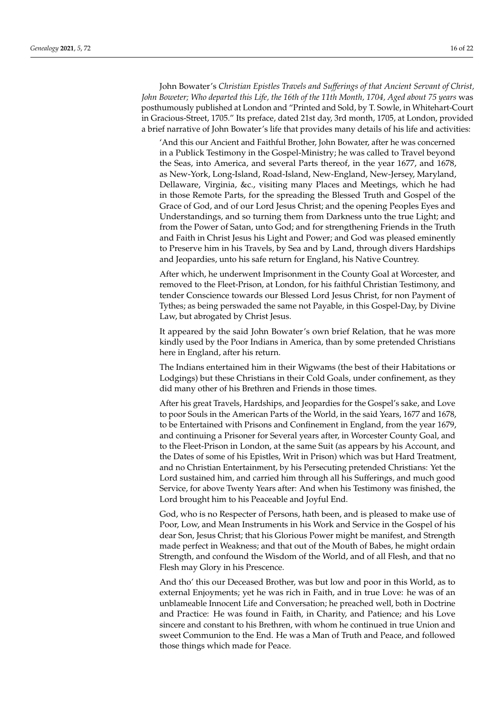John Bowater's *Christian Epistles Travels and Sufferings of that Ancient Servant of Christ, John Boweter; Who departed this Life, the 16th of the 11th Month, 1704, Aged about 75 years* was posthumously published at London and "Printed and Sold, by T. Sowle, in Whitehart-Court in Gracious-Street, 1705." Its preface, dated 21st day, 3rd month, 1705, at London, provided a brief narrative of John Bowater's life that provides many details of his life and activities:

'And this our Ancient and Faithful Brother, John Bowater, after he was concerned in a Publick Testimony in the Gospel-Ministry; he was called to Travel beyond the Seas, into America, and several Parts thereof, in the year 1677, and 1678, as New-York, Long-Island, Road-Island, New-England, New-Jersey, Maryland, Dellaware, Virginia, &c., visiting many Places and Meetings, which he had in those Remote Parts, for the spreading the Blessed Truth and Gospel of the Grace of God, and of our Lord Jesus Christ; and the opening Peoples Eyes and Understandings, and so turning them from Darkness unto the true Light; and from the Power of Satan, unto God; and for strengthening Friends in the Truth and Faith in Christ Jesus his Light and Power; and God was pleased eminently to Preserve him in his Travels, by Sea and by Land, through divers Hardships and Jeopardies, unto his safe return for England, his Native Countrey.

After which, he underwent Imprisonment in the County Goal at Worcester, and removed to the Fleet-Prison, at London, for his faithful Christian Testimony, and tender Conscience towards our Blessed Lord Jesus Christ, for non Payment of Tythes; as being perswaded the same not Payable, in this Gospel-Day, by Divine Law, but abrogated by Christ Jesus.

It appeared by the said John Bowater's own brief Relation, that he was more kindly used by the Poor Indians in America, than by some pretended Christians here in England, after his return.

The Indians entertained him in their Wigwams (the best of their Habitations or Lodgings) but these Christians in their Cold Goals, under confinement, as they did many other of his Brethren and Friends in those times.

After his great Travels, Hardships, and Jeopardies for the Gospel's sake, and Love to poor Souls in the American Parts of the World, in the said Years, 1677 and 1678, to be Entertained with Prisons and Confinement in England, from the year 1679, and continuing a Prisoner for Several years after, in Worcester County Goal, and to the Fleet-Prison in London, at the same Suit (as appears by his Account, and the Dates of some of his Epistles, Writ in Prison) which was but Hard Treatment, and no Christian Entertainment, by his Persecuting pretended Christians: Yet the Lord sustained him, and carried him through all his Sufferings, and much good Service, for above Twenty Years after: And when his Testimony was finished, the Lord brought him to his Peaceable and Joyful End.

God, who is no Respecter of Persons, hath been, and is pleased to make use of Poor, Low, and Mean Instruments in his Work and Service in the Gospel of his dear Son, Jesus Christ; that his Glorious Power might be manifest, and Strength made perfect in Weakness; and that out of the Mouth of Babes, he might ordain Strength, and confound the Wisdom of the World, and of all Flesh, and that no Flesh may Glory in his Prescence.

And tho' this our Deceased Brother, was but low and poor in this World, as to external Enjoyments; yet he was rich in Faith, and in true Love: he was of an unblameable Innocent Life and Conversation; he preached well, both in Doctrine and Practice: He was found in Faith, in Charity, and Patience; and his Love sincere and constant to his Brethren, with whom he continued in true Union and sweet Communion to the End. He was a Man of Truth and Peace, and followed those things which made for Peace.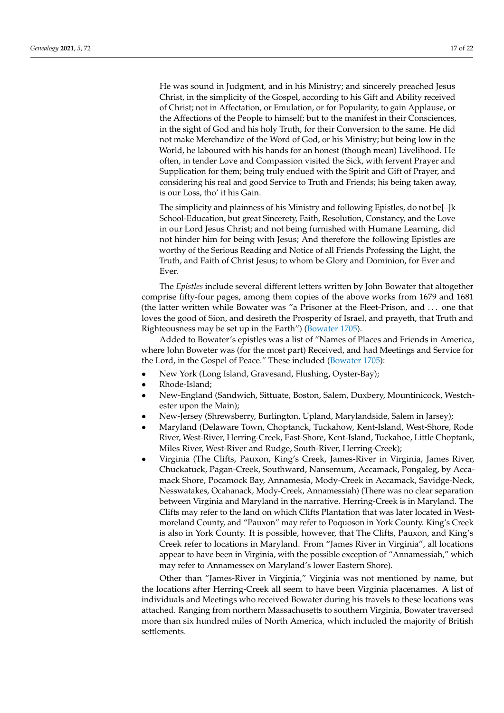He was sound in Judgment, and in his Ministry; and sincerely preached Jesus Christ, in the simplicity of the Gospel, according to his Gift and Ability received of Christ; not in Affectation, or Emulation, or for Popularity, to gain Applause, or the Affections of the People to himself; but to the manifest in their Consciences, in the sight of God and his holy Truth, for their Conversion to the same. He did not make Merchandize of the Word of God, or his Ministry; but being low in the World, he laboured with his hands for an honest (though mean) Livelihood. He often, in tender Love and Compassion visited the Sick, with fervent Prayer and Supplication for them; being truly endued with the Spirit and Gift of Prayer, and considering his real and good Service to Truth and Friends; his being taken away, is our Loss, tho' it his Gain.

The simplicity and plainness of his Ministry and following Epistles, do not be[–]k School-Education, but great Sincerety, Faith, Resolution, Constancy, and the Love in our Lord Jesus Christ; and not being furnished with Humane Learning, did not hinder him for being with Jesus; And therefore the following Epistles are worthy of the Serious Reading and Notice of all Friends Professing the Light, the Truth, and Faith of Christ Jesus; to whom be Glory and Dominion, for Ever and Ever.

The *Epistles* include several different letters written by John Bowater that altogether comprise fifty-four pages, among them copies of the above works from 1679 and 1681 (the latter written while Bowater was "a Prisoner at the Fleet-Prison, and . . . one that loves the good of Sion, and desireth the Prosperity of Israel, and prayeth, that Truth and Righteousness may be set up in the Earth") [\(Bowater](#page-20-5) [1705\)](#page-20-5).

Added to Bowater's epistles was a list of "Names of Places and Friends in America, where John Boweter was (for the most part) Received, and had Meetings and Service for the Lord, in the Gospel of Peace." These included [\(Bowater](#page-20-5) [1705\)](#page-20-5):

- New York (Long Island, Gravesand, Flushing, Oyster-Bay);
- Rhode-Island;
- New-England (Sandwich, Sittuate, Boston, Salem, Duxbery, Mountinicock, Westchester upon the Main);
- New-Jersey (Shrewsberry, Burlington, Upland, Marylandside, Salem in Jarsey);
- Maryland (Delaware Town, Choptanck, Tuckahow, Kent-Island, West-Shore, Rode River, West-River, Herring-Creek, East-Shore, Kent-Island, Tuckahoe, Little Choptank, Miles River, West-River and Rudge, South-River, Herring-Creek);
- Virginia (The Clifts, Pauxon, King's Creek, James-River in Virginia, James River, Chuckatuck, Pagan-Creek, Southward, Nansemum, Accamack, Pongaleg, by Accamack Shore, Pocamock Bay, Annamesia, Mody-Creek in Accamack, Savidge-Neck, Nesswatakes, Ocahanack, Mody-Creek, Annamessiah) (There was no clear separation between Virginia and Maryland in the narrative. Herring-Creek is in Maryland. The Clifts may refer to the land on which Clifts Plantation that was later located in Westmoreland County, and "Pauxon" may refer to Poquoson in York County. King's Creek is also in York County. It is possible, however, that The Clifts, Pauxon, and King's Creek refer to locations in Maryland. From "James River in Virginia", all locations appear to have been in Virginia, with the possible exception of "Annamessiah," which may refer to Annamessex on Maryland's lower Eastern Shore).

Other than "James-River in Virginia," Virginia was not mentioned by name, but the locations after Herring-Creek all seem to have been Virginia placenames. A list of individuals and Meetings who received Bowater during his travels to these locations was attached. Ranging from northern Massachusetts to southern Virginia, Bowater traversed more than six hundred miles of North America, which included the majority of British settlements.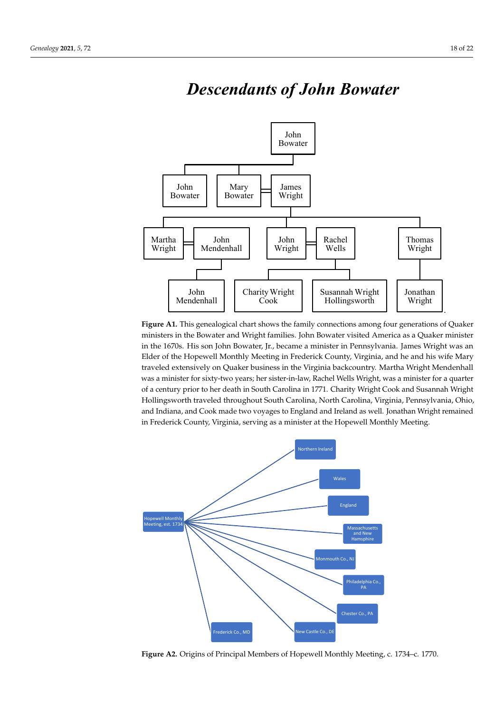

## *Descendants of John Bowater*

ministers in the Bowater and Wright families. John Bowater visited America as a Quaker minister ministers in the Bowater and Wright families. John Bowater and Wright families. John Bowater ministers as a qua<br>In the 1670s. His seni John Bowater Jr., hoogene a minister in Bowater ministeria. Jones Wright was an in the 1670s. His son John Bowater, Jr., became a minister in Pennsylvania. James Wright was an in the 1670s. His son John Bowater, Jr., became a minister in Pennsylvania. James Wright was an Elder of the Hopewell Monthly Meeting in Frederick County, Virginia, and he and his wife Mary Elder of the Hopewell Monthly Meeting in Frederick County, Virginia, and he and his wife Mary traveled extensively on Quaker business in the Virginia backcountry. Martha Wright Mendenhall traveled extensively on Quaker business in the Virginia backcountry. Martha Wright Mendenhall was a minister for sixty-two years; her sister-in-law, Rachel Wells Wright, was a minister for a quarter of a century prior to her death in South Carolina in 1771. Charity Wright Cook and Susannah Wright Wright Hollingsworth traveled throughout South Carolina, North Carolina, Virginia, Pennsylvania, Hollingsworth traveled throughout South Carolina, North Carolina, Virginia, Pennsylvania, Ohio, and Indiana, and Cook made two voyages to England and Ireland as well. Jonathan Wright remained in Frederick County, Virginia, serving as a minister at the Hopewell Monthly Meeting. **Figure A1.** This genealogical chart shows the family connections among four generations of Quaker



**Figure A2.** Origins of Principal Members of Hopewell Monthly Meeting, c. 1734–c. 1770.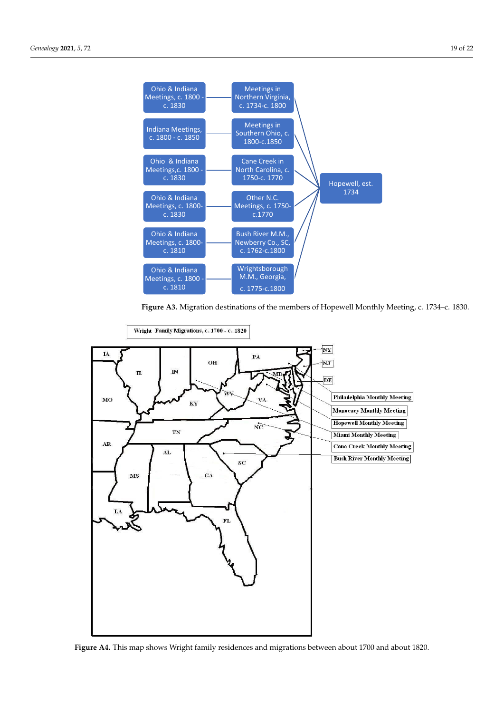

**Figure A3.** Migration destinations of the members of Hopewell Monthly Meeting, c. 1734–c. 1830. **Figure A3.** Migration destinations of the members of Hopewell Monthly Meeting, c. 1734–c. 1830.



**Figure A4.** This map shows Wright family residences and migrations between about 1700 and about 1820. **Figure A4.** This map shows Wright family residences and migrations between about 1700 and about 1820.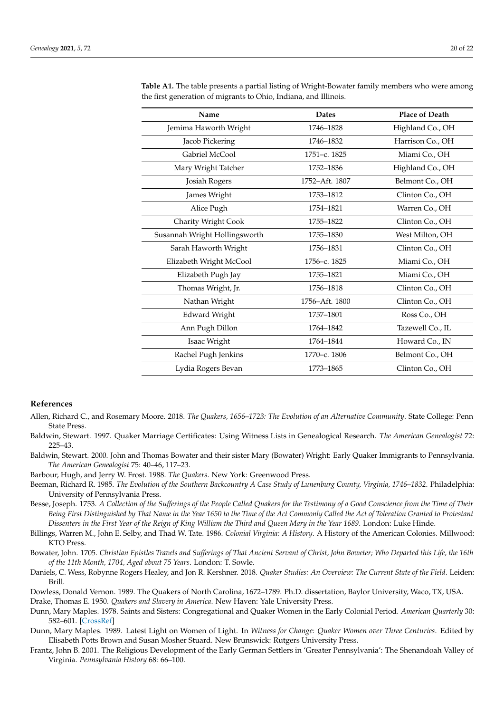| Name                          | <b>Dates</b>   | <b>Place of Death</b> |
|-------------------------------|----------------|-----------------------|
| Jemima Haworth Wright         | 1746-1828      | Highland Co., OH      |
| Jacob Pickering               | 1746-1832      | Harrison Co., OH      |
| Gabriel McCool                | 1751-с. 1825   | Miami Co., OH         |
| Mary Wright Tatcher           | 1752-1836      | Highland Co., OH      |
| Josiah Rogers                 | 1752-Aft. 1807 | Belmont Co., OH       |
| James Wright                  | 1753-1812      | Clinton Co., OH       |
| Alice Pugh                    | 1754-1821      | Warren Co., OH        |
| Charity Wright Cook           | 1755-1822      | Clinton Co., OH       |
| Susannah Wright Hollingsworth | 1755-1830      | West Milton, OH       |
| Sarah Haworth Wright          | 1756-1831      | Clinton Co., OH       |
| Elizabeth Wright McCool       | 1756-с. 1825   | Miami Co., OH         |
| Elizabeth Pugh Jay            | 1755-1821      | Miami Co., OH         |
| Thomas Wright, Jr.            | 1756-1818      | Clinton Co., OH       |
| Nathan Wright                 | 1756-Aft. 1800 | Clinton Co., OH       |
| <b>Edward Wright</b>          | 1757-1801      | Ross Co., OH          |
| Ann Pugh Dillon               | 1764-1842      | Tazewell Co., IL      |
| Isaac Wright                  | 1764-1844      | Howard Co., IN        |
| Rachel Pugh Jenkins           | 1770-с. 1806   | Belmont Co., OH       |
| Lydia Rogers Bevan            | 1773-1865      | Clinton Co., OH       |

<span id="page-20-12"></span>**Table A1.** The table presents a partial listing of Wright-Bowater family members who were among the first generation of migrants to Ohio, Indiana, and Illinois.

### **References**

- <span id="page-20-0"></span>Allen, Richard C., and Rosemary Moore. 2018. *The Quakers, 1656–1723: The Evolution of an Alternative Community*. State College: Penn State Press.
- <span id="page-20-8"></span>Baldwin, Stewart. 1997. Quaker Marriage Certificates: Using Witness Lists in Genealogical Research. *The American Genealogist* 72: 225–43.
- <span id="page-20-7"></span>Baldwin, Stewart. 2000. John and Thomas Bowater and their sister Mary (Bowater) Wright: Early Quaker Immigrants to Pennsylvania. *The American Genealogist* 75: 40–46, 117–23.

<span id="page-20-1"></span>Barbour, Hugh, and Jerry W. Frost. 1988. *The Quakers*. New York: Greenwood Press.

- <span id="page-20-14"></span>Beeman, Richard R. 1985. *The Evolution of the Southern Backcountry A Case Study of Lunenburg County, Virginia, 1746–1832*. Philadelphia: University of Pennsylvania Press.
- <span id="page-20-6"></span>Besse, Joseph. 1753. *A Collection of the Sufferings of the People Called Quakers for the Testimony of a Good Conscience from the Time of Their Being First Distinguished by That Name in the Year 1650 to the Time of the Act Commonly Called the Act of Toleration Granted to Protestant Dissenters in the First Year of the Reign of King William the Third and Queen Mary in the Year 1689*. London: Luke Hinde.
- <span id="page-20-13"></span>Billings, Warren M., John E. Selby, and Thad W. Tate. 1986. *Colonial Virginia: A History*. A History of the American Colonies. Millwood: KTO Press.
- <span id="page-20-5"></span>Bowater, John. 1705. *Christian Epistles Travels and Sufferings of That Ancient Servant of Christ, John Boweter; Who Departed this Life, the 16th of the 11th Month, 1704, Aged about 75 Years*. London: T. Sowle.
- <span id="page-20-2"></span>Daniels, C. Wess, Robynne Rogers Healey, and Jon R. Kershner. 2018. *Quaker Studies: An Overview: The Current State of the Field*. Leiden: Brill.

<span id="page-20-11"></span><span id="page-20-10"></span>Dowless, Donald Vernon. 1989. The Quakers of North Carolina, 1672–1789. Ph.D. dissertation, Baylor University, Waco, TX, USA. Drake, Thomas E. 1950. *Quakers and Slavery in America*. New Haven: Yale University Press.

- <span id="page-20-3"></span>Dunn, Mary Maples. 1978. Saints and Sisters: Congregational and Quaker Women in the Early Colonial Period. *American Quarterly* 30: 582–601. [\[CrossRef\]](http://doi.org/10.2307/2712399)
- <span id="page-20-4"></span>Dunn, Mary Maples. 1989. Latest Light on Women of Light. In *Witness for Change: Quaker Women over Three Centuries*. Edited by Elisabeth Potts Brown and Susan Mosher Stuard. New Brunswick: Rutgers University Press.
- <span id="page-20-9"></span>Frantz, John B. 2001. The Religious Development of the Early German Settlers in 'Greater Pennsylvania': The Shenandoah Valley of Virginia. *Pennsylvania History* 68: 66–100.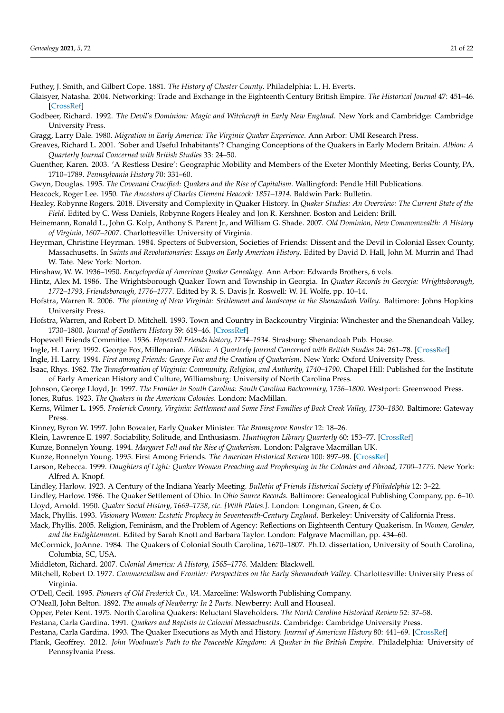<span id="page-21-27"></span>Futhey, J. Smith, and Gilbert Cope. 1881. *The History of Chester County*. Philadelphia: L. H. Everts.

- <span id="page-21-8"></span>Glaisyer, Natasha. 2004. Networking: Trade and Exchange in the Eighteenth Century British Empire. *The Historical Journal* 47: 451–46. [\[CrossRef\]](http://doi.org/10.1017/S0018246X04003759)
- <span id="page-21-16"></span>Godbeer, Richard. 1992. *The Devil's Dominion: Magic and Witchcraft in Early New England*. New York and Cambridge: Cambridge University Press.
- <span id="page-21-31"></span>Gragg, Larry Dale. 1980. *Migration in Early America: The Virginia Quaker Experience*. Ann Arbor: UMI Research Press.
- <span id="page-21-3"></span>Greaves, Richard L. 2001. 'Sober and Useful Inhabitants'? Changing Conceptions of the Quakers in Early Modern Britain. *Albion: A Quarterly Journal Concerned with British Studies* 33: 24–50.
- <span id="page-21-19"></span>Guenther, Karen. 2003. 'A Restless Desire': Geographic Mobility and Members of the Exeter Monthly Meeting, Berks County, PA, 1710–1789. *Pennsylvania History* 70: 331–60.
- <span id="page-21-29"></span><span id="page-21-7"></span>Gwyn, Douglas. 1995. *The Covenant Crucified: Quakers and the Rise of Capitalism*. Wallingford: Pendle Hill Publications.
- Heacock, Roger Lee. 1950. *The Ancestors of Charles Clement Heacock: 1851–1914*. Baldwin Park: Bulletin.
- <span id="page-21-18"></span>Healey, Robynne Rogers. 2018. Diversity and Complexity in Quaker History. In *Quaker Studies: An Overview: The Current State of the Field*. Edited by C. Wess Daniels, Robynne Rogers Healey and Jon R. Kershner. Boston and Leiden: Brill.
- <span id="page-21-39"></span>Heinemann, Ronald L., John G. Kolp, Anthony S. Parent Jr., and William G. Shade. 2007. *Old Dominion, New Commonwealth: A History of Virginia, 1607–2007*. Charlottesville: University of Virginia.
- <span id="page-21-15"></span>Heyrman, Christine Heyrman. 1984. Specters of Subversion, Societies of Friends: Dissent and the Devil in Colonial Essex County, Massachusetts. In *Saints and Revolutionaries: Essays on Early American History*. Edited by David D. Hall, John M. Murrin and Thad W. Tate. New York: Norton.
- <span id="page-21-21"></span>Hinshaw, W. W. 1936–1950. *Encyclopedia of American Quaker Genealogy*. Ann Arbor: Edwards Brothers, 6 vols.
- <span id="page-21-25"></span>Hintz, Alex M. 1986. The Wrightsborough Quaker Town and Township in Georgia. In *Quaker Records in Georgia: Wrightsborough, 1772–1793, Friendsborough, 1776–1777*. Edited by R. S. Davis Jr. Roswell: W. H. Wolfe, pp. 10–14.
- <span id="page-21-32"></span>Hofstra, Warren R. 2006. *The planting of New Virginia: Settlement and landscape in the Shenandoah Valley*. Baltimore: Johns Hopkins University Press.
- <span id="page-21-33"></span>Hofstra, Warren, and Robert D. Mitchell. 1993. Town and Country in Backcountry Virginia: Winchester and the Shenandoah Valley, 1730–1800. *Journal of Southern History* 59: 619–46. [\[CrossRef\]](http://doi.org/10.2307/2210536)
- <span id="page-21-0"></span>Hopewell Friends Committee. 1936. *Hopewell Friends history, 1734–1934*. Strasburg: Shenandoah Pub. House.
- <span id="page-21-9"></span>Ingle, H. Larry. 1992. George Fox, Millenarian. *Albion: A Quarterly Journal Concerned with British Studies* 24: 261–78. [\[CrossRef\]](http://doi.org/10.2307/4050813)
- <span id="page-21-10"></span>Ingle, H. Larry. 1994. *First among Friends: George Fox and the Creation of Quakerism*. New York: Oxford University Press.
- <span id="page-21-40"></span>Isaac, Rhys. 1982. *The Transformation of Virginia: Community, Religion, and Authority, 1740–1790*. Chapel Hill: Published for the Institute of Early American History and Culture, Williamsburg: University of North Carolina Press.
- <span id="page-21-26"></span><span id="page-21-1"></span>Johnson, George Lloyd, Jr. 1997. *The Frontier in South Carolina: South Carolina Backcountry, 1736–1800*. Westport: Greenwood Press.
- Jones, Rufus. 1923. *The Quakers in the American Colonies*. London: MacMillan.
- <span id="page-21-22"></span>Kerns, Wilmer L. 1995. *Frederick County, Virginia: Settlement and Some First Families of Back Creek Valley, 1730–1830*. Baltimore: Gateway Press.
- <span id="page-21-28"></span>Kinney, Byron W. 1997. John Bowater, Early Quaker Minister. *The Bromsgrove Rousler* 12: 18–26.
- <span id="page-21-6"></span>Klein, Lawrence E. 1997. Sociability, Solitude, and Enthusiasm. *Huntington Library Quarterly* 60: 153–77. [\[CrossRef\]](http://doi.org/10.2307/3817835)
- <span id="page-21-11"></span>Kunze, Bonnelyn Young. 1994. *Margaret Fell and the Rise of Quakerism*. London: Palgrave Macmillan UK.
- <span id="page-21-12"></span>Kunze, Bonnelyn Young. 1995. First Among Friends. *The American Historical Review* 100: 897–98. [\[CrossRef\]](http://doi.org/10.2307/2168646)
- <span id="page-21-17"></span>Larson, Rebecca. 1999. *Daughters of Light: Quaker Women Preaching and Prophesying in the Colonies and Abroad, 1700–1775*. New York: Alfred A. Knopf.
- <span id="page-21-37"></span>Lindley, Harlow. 1923. A Century of the Indiana Yearly Meeting. *Bulletin of Friends Historical Society of Philadelphia* 12: 3–22.
- <span id="page-21-36"></span><span id="page-21-2"></span>Lindley, Harlow. 1986. The Quaker Settlement of Ohio. In *Ohio Source Records*. Baltimore: Genealogical Publishing Company, pp. 6–10. Lloyd, Arnold. 1950. *Quaker Social History, 1669–1738, etc. [With Plates.]*. London: Longman, Green, & Co.
- <span id="page-21-13"></span>Mack, Phyllis. 1993. *Visionary Women: Ecstatic Prophecy in Seventeenth-Century England*. Berkeley: University of California Press.
- <span id="page-21-14"></span>Mack, Phyllis. 2005. Religion, Feminism, and the Problem of Agency: Reflections on Eighteenth Century Quakerism. In *Women, Gender, and the Enlightenment*. Edited by Sarah Knott and Barbara Taylor. London: Palgrave Macmillan, pp. 434–60.
- <span id="page-21-24"></span>McCormick, JoAnne. 1984. The Quakers of Colonial South Carolina, 1670–1807. Ph.D. dissertation, University of South Carolina, Columbia, SC, USA.
- <span id="page-21-38"></span>Middleton, Richard. 2007. *Colonial America: A History, 1565–1776*. Malden: Blackwell.
- <span id="page-21-30"></span>Mitchell, Robert D. 1977. *Commercialism and Frontier: Perspectives on the Early Shenandoah Valley*. Charlottesville: University Press of Virginia.
- <span id="page-21-23"></span>O'Dell, Cecil. 1995. *Pioneers of Old Frederick Co., VA*. Marceline: Walsworth Publishing Company.
- <span id="page-21-20"></span>O'Neall, John Belton. 1892. *The annals of Newberry: In 2 Parts*. Newberry: Aull and Houseal.
- <span id="page-21-35"></span>Opper, Peter Kent. 1975. North Carolina Quakers: Reluctant Slaveholders. *The North Carolina Historical Review* 52: 37–58.
- <span id="page-21-5"></span><span id="page-21-4"></span>Pestana, Carla Gardina. 1991. *Quakers and Baptists in Colonial Massachusetts*. Cambridge: Cambridge University Press.
- Pestana, Carla Gardina. 1993. The Quaker Executions as Myth and History. *Journal of American History* 80: 441–69. [\[CrossRef\]](http://doi.org/10.2307/2079866)
- <span id="page-21-34"></span>Plank, Geoffrey. 2012. *John Woolman's Path to the Peaceable Kingdom: A Quaker in the British Empire*. Philadelphia: University of Pennsylvania Press.